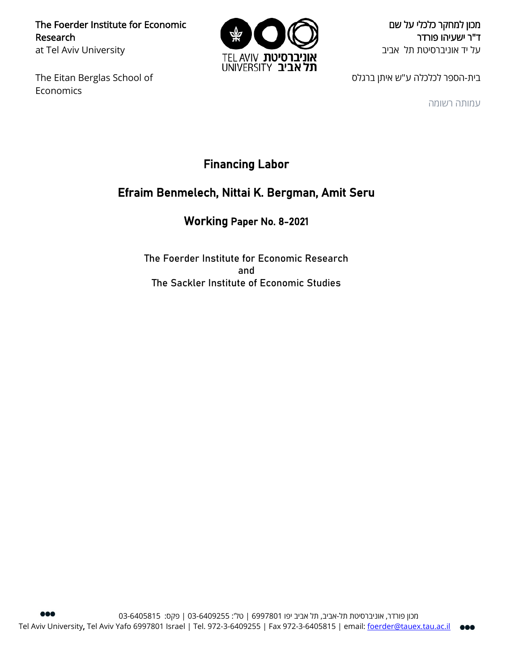The Foerder Institute for Economic Research at Tel Aviv University

The Eitan Berglas School of Economics



מכון למחקר כלכלי על שם ד"ר ישעיהו פורדר על יד אוניברסיטת תל אביב

בית-הספר לכלכלה ע"ש איתן ברגלס

עמותה רשומה

# Financing Labor

# Efraim Benmelech, Nittai K. Bergman, Amit Seru

# Working Paper No. 8-2021

The Foerder Institute for Economic Research and The Sackler Institute of Economic Studies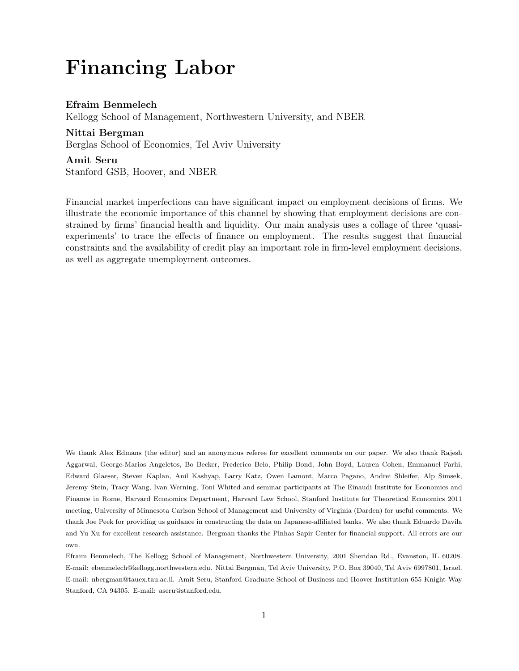# Financing Labor

Efraim Benmelech Kellogg School of Management, Northwestern University, and NBER Nittai Bergman Berglas School of Economics, Tel Aviv University

# Amit Seru

Stanford GSB, Hoover, and NBER

Financial market imperfections can have significant impact on employment decisions of firms. We illustrate the economic importance of this channel by showing that employment decisions are constrained by firms' financial health and liquidity. Our main analysis uses a collage of three 'quasiexperiments' to trace the effects of finance on employment. The results suggest that financial constraints and the availability of credit play an important role in firm-level employment decisions, as well as aggregate unemployment outcomes.

We thank Alex Edmans (the editor) and an anonymous referee for excellent comments on our paper. We also thank Rajesh Aggarwal, George-Marios Angeletos, Bo Becker, Frederico Belo, Philip Bond, John Boyd, Lauren Cohen, Emmanuel Farhi, Edward Glaeser, Steven Kaplan, Anil Kashyap, Larry Katz, Owen Lamont, Marco Pagano, Andrei Shleifer, Alp Simsek, Jeremy Stein, Tracy Wang, Ivan Werning, Toni Whited and seminar participants at The Einaudi Institute for Economics and Finance in Rome, Harvard Economics Department, Harvard Law School, Stanford Institute for Theoretical Economics 2011 meeting, University of Minnesota Carlson School of Management and University of Virginia (Darden) for useful comments. We thank Joe Peek for providing us guidance in constructing the data on Japanese-affiliated banks. We also thank Eduardo Davila and Yu Xu for excellent research assistance. Bergman thanks the Pinhas Sapir Center for financial support. All errors are our own.

Efraim Benmelech, The Kellogg School of Management, Northwestern University, 2001 Sheridan Rd., Evanston, IL 60208. E-mail: ebenmelech@kellogg.northwestern.edu. Nittai Bergman, Tel Aviv University, P.O. Box 39040, Tel Aviv 6997801, Israel. E-mail: nbergman@tauex.tau.ac.il. Amit Seru, Stanford Graduate School of Business and Hoover Institution 655 Knight Way Stanford, CA 94305. E-mail: aseru@stanford.edu.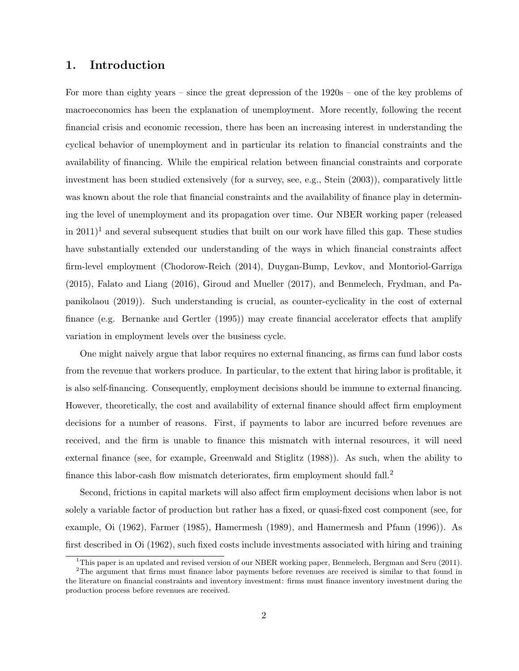# 1. Introduction

For more than eighty years – since the great depression of the 1920s – one of the key problems of macroeconomics has been the explanation of unemployment. More recently, following the recent financial crisis and economic recession, there has been an increasing interest in understanding the cyclical behavior of unemployment and in particular its relation to financial constraints and the availability of financing. While the empirical relation between financial constraints and corporate investment has been studied extensively (for a survey, see, e.g., Stein (2003)), comparatively little was known about the role that financial constraints and the availability of finance play in determining the level of unemployment and its propagation over time. Our NBER working paper (released in  $2011$ <sup>1</sup> and several subsequent studies that built on our work have filled this gap. These studies have substantially extended our understanding of the ways in which financial constraints affect firm-level employment (Chodorow-Reich (2014), Duygan-Bump, Levkov, and Montoriol-Garriga (2015), Falato and Liang (2016), Giroud and Mueller (2017), and Benmelech, Frydman, and Papanikolaou (2019)). Such understanding is crucial, as counter-cyclicality in the cost of external finance (e.g. Bernanke and Gertler (1995)) may create financial accelerator effects that amplify variation in employment levels over the business cycle.

One might naively argue that labor requires no external financing, as firms can fund labor costs from the revenue that workers produce. In particular, to the extent that hiring labor is profitable, it is also self-financing. Consequently, employment decisions should be immune to external financing. However, theoretically, the cost and availability of external finance should affect firm employment decisions for a number of reasons. First, if payments to labor are incurred before revenues are received, and the firm is unable to finance this mismatch with internal resources, it will need external finance (see, for example, Greenwald and Stiglitz (1988)). As such, when the ability to finance this labor-cash flow mismatch deteriorates, firm employment should fall.<sup>2</sup>

Second, frictions in capital markets will also affect firm employment decisions when labor is not solely a variable factor of production but rather has a fixed, or quasi-fixed cost component (see, for example, Oi (1962), Farmer (1985), Hamermesh (1989), and Hamermesh and Pfann (1996)). As first described in Oi (1962), such fixed costs include investments associated with hiring and training

<sup>&</sup>lt;sup>1</sup>This paper is an updated and revised version of our NBER working paper, Benmelech, Bergman and Seru (2011).

<sup>&</sup>lt;sup>2</sup>The argument that firms must finance labor payments before revenues are received is similar to that found in the literature on financial constraints and inventory investment: firms must finance inventory investment during the production process before revenues are received.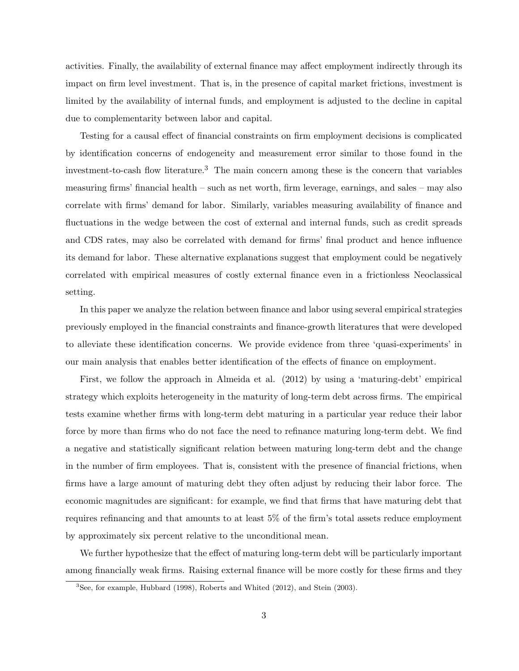activities. Finally, the availability of external finance may affect employment indirectly through its impact on firm level investment. That is, in the presence of capital market frictions, investment is limited by the availability of internal funds, and employment is adjusted to the decline in capital due to complementarity between labor and capital.

Testing for a causal effect of financial constraints on firm employment decisions is complicated by identification concerns of endogeneity and measurement error similar to those found in the investment-to-cash flow literature.<sup>3</sup> The main concern among these is the concern that variables measuring firms' financial health – such as net worth, firm leverage, earnings, and sales – may also correlate with firms' demand for labor. Similarly, variables measuring availability of finance and fluctuations in the wedge between the cost of external and internal funds, such as credit spreads and CDS rates, may also be correlated with demand for firms' final product and hence influence its demand for labor. These alternative explanations suggest that employment could be negatively correlated with empirical measures of costly external finance even in a frictionless Neoclassical setting.

In this paper we analyze the relation between finance and labor using several empirical strategies previously employed in the financial constraints and finance-growth literatures that were developed to alleviate these identification concerns. We provide evidence from three 'quasi-experiments' in our main analysis that enables better identification of the effects of finance on employment.

First, we follow the approach in Almeida et al. (2012) by using a 'maturing-debt' empirical strategy which exploits heterogeneity in the maturity of long-term debt across firms. The empirical tests examine whether firms with long-term debt maturing in a particular year reduce their labor force by more than firms who do not face the need to refinance maturing long-term debt. We find a negative and statistically significant relation between maturing long-term debt and the change in the number of firm employees. That is, consistent with the presence of financial frictions, when firms have a large amount of maturing debt they often adjust by reducing their labor force. The economic magnitudes are significant: for example, we find that firms that have maturing debt that requires refinancing and that amounts to at least 5% of the firm's total assets reduce employment by approximately six percent relative to the unconditional mean.

We further hypothesize that the effect of maturing long-term debt will be particularly important among financially weak firms. Raising external finance will be more costly for these firms and they

 ${}^{3}$ See, for example, Hubbard (1998), Roberts and Whited (2012), and Stein (2003).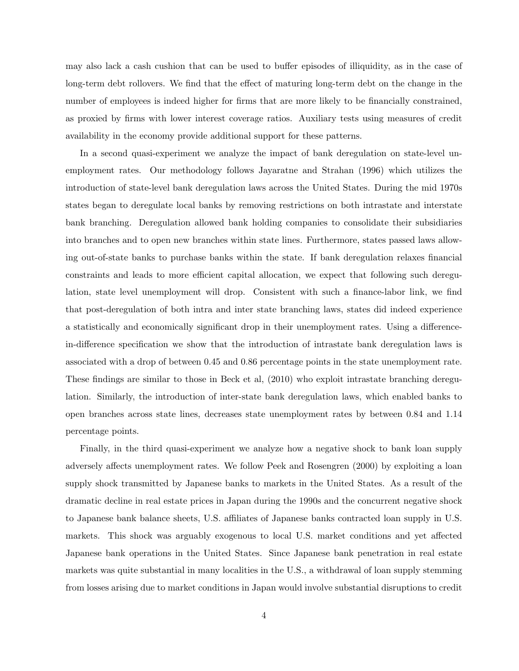may also lack a cash cushion that can be used to buffer episodes of illiquidity, as in the case of long-term debt rollovers. We find that the effect of maturing long-term debt on the change in the number of employees is indeed higher for firms that are more likely to be financially constrained, as proxied by firms with lower interest coverage ratios. Auxiliary tests using measures of credit availability in the economy provide additional support for these patterns.

In a second quasi-experiment we analyze the impact of bank deregulation on state-level unemployment rates. Our methodology follows Jayaratne and Strahan (1996) which utilizes the introduction of state-level bank deregulation laws across the United States. During the mid 1970s states began to deregulate local banks by removing restrictions on both intrastate and interstate bank branching. Deregulation allowed bank holding companies to consolidate their subsidiaries into branches and to open new branches within state lines. Furthermore, states passed laws allowing out-of-state banks to purchase banks within the state. If bank deregulation relaxes financial constraints and leads to more efficient capital allocation, we expect that following such deregulation, state level unemployment will drop. Consistent with such a finance-labor link, we find that post-deregulation of both intra and inter state branching laws, states did indeed experience a statistically and economically significant drop in their unemployment rates. Using a differencein-difference specification we show that the introduction of intrastate bank deregulation laws is associated with a drop of between 0.45 and 0.86 percentage points in the state unemployment rate. These findings are similar to those in Beck et al, (2010) who exploit intrastate branching deregulation. Similarly, the introduction of inter-state bank deregulation laws, which enabled banks to open branches across state lines, decreases state unemployment rates by between 0.84 and 1.14 percentage points.

Finally, in the third quasi-experiment we analyze how a negative shock to bank loan supply adversely affects unemployment rates. We follow Peek and Rosengren (2000) by exploiting a loan supply shock transmitted by Japanese banks to markets in the United States. As a result of the dramatic decline in real estate prices in Japan during the 1990s and the concurrent negative shock to Japanese bank balance sheets, U.S. affiliates of Japanese banks contracted loan supply in U.S. markets. This shock was arguably exogenous to local U.S. market conditions and yet affected Japanese bank operations in the United States. Since Japanese bank penetration in real estate markets was quite substantial in many localities in the U.S., a withdrawal of loan supply stemming from losses arising due to market conditions in Japan would involve substantial disruptions to credit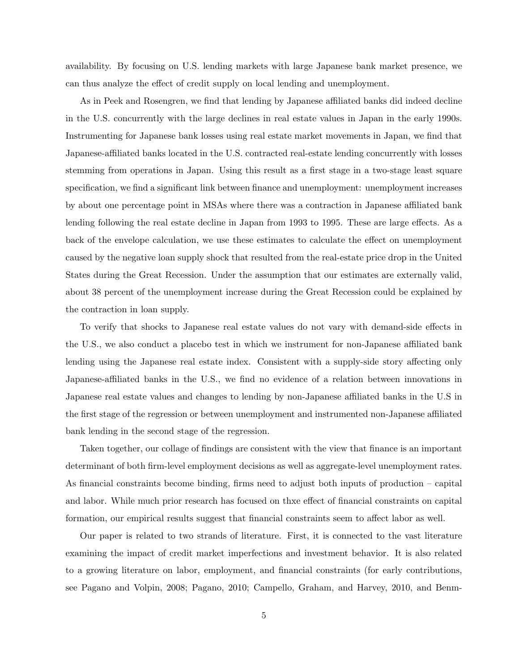availability. By focusing on U.S. lending markets with large Japanese bank market presence, we can thus analyze the effect of credit supply on local lending and unemployment.

As in Peek and Rosengren, we find that lending by Japanese affiliated banks did indeed decline in the U.S. concurrently with the large declines in real estate values in Japan in the early 1990s. Instrumenting for Japanese bank losses using real estate market movements in Japan, we find that Japanese-affiliated banks located in the U.S. contracted real-estate lending concurrently with losses stemming from operations in Japan. Using this result as a first stage in a two-stage least square specification, we find a significant link between finance and unemployment: unemployment increases by about one percentage point in MSAs where there was a contraction in Japanese affiliated bank lending following the real estate decline in Japan from 1993 to 1995. These are large effects. As a back of the envelope calculation, we use these estimates to calculate the effect on unemployment caused by the negative loan supply shock that resulted from the real-estate price drop in the United States during the Great Recession. Under the assumption that our estimates are externally valid, about 38 percent of the unemployment increase during the Great Recession could be explained by the contraction in loan supply.

To verify that shocks to Japanese real estate values do not vary with demand-side effects in the U.S., we also conduct a placebo test in which we instrument for non-Japanese affiliated bank lending using the Japanese real estate index. Consistent with a supply-side story affecting only Japanese-affiliated banks in the U.S., we find no evidence of a relation between innovations in Japanese real estate values and changes to lending by non-Japanese affiliated banks in the U.S in the first stage of the regression or between unemployment and instrumented non-Japanese affiliated bank lending in the second stage of the regression.

Taken together, our collage of findings are consistent with the view that finance is an important determinant of both firm-level employment decisions as well as aggregate-level unemployment rates. As financial constraints become binding, firms need to adjust both inputs of production – capital and labor. While much prior research has focused on thxe effect of financial constraints on capital formation, our empirical results suggest that financial constraints seem to affect labor as well.

Our paper is related to two strands of literature. First, it is connected to the vast literature examining the impact of credit market imperfections and investment behavior. It is also related to a growing literature on labor, employment, and financial constraints (for early contributions, see Pagano and Volpin, 2008; Pagano, 2010; Campello, Graham, and Harvey, 2010, and Benm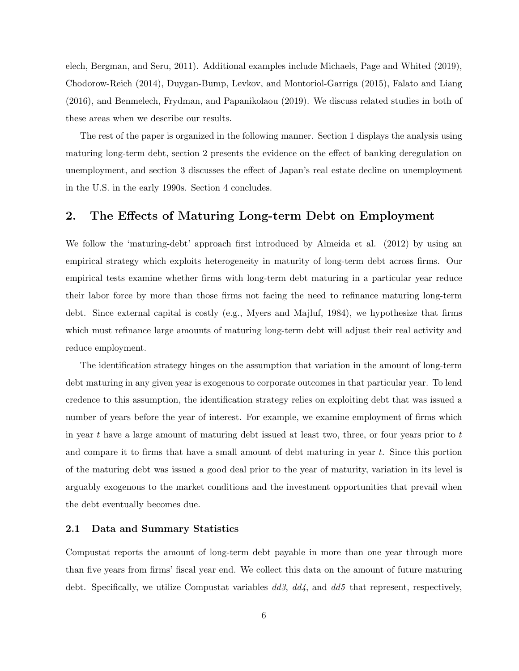elech, Bergman, and Seru, 2011). Additional examples include Michaels, Page and Whited (2019), Chodorow-Reich (2014), Duygan-Bump, Levkov, and Montoriol-Garriga (2015), Falato and Liang (2016), and Benmelech, Frydman, and Papanikolaou (2019). We discuss related studies in both of these areas when we describe our results.

The rest of the paper is organized in the following manner. Section 1 displays the analysis using maturing long-term debt, section 2 presents the evidence on the effect of banking deregulation on unemployment, and section 3 discusses the effect of Japan's real estate decline on unemployment in the U.S. in the early 1990s. Section 4 concludes.

# 2. The Effects of Maturing Long-term Debt on Employment

We follow the 'maturing-debt' approach first introduced by Almeida et al. (2012) by using an empirical strategy which exploits heterogeneity in maturity of long-term debt across firms. Our empirical tests examine whether firms with long-term debt maturing in a particular year reduce their labor force by more than those firms not facing the need to refinance maturing long-term debt. Since external capital is costly (e.g., Myers and Majluf, 1984), we hypothesize that firms which must refinance large amounts of maturing long-term debt will adjust their real activity and reduce employment.

The identification strategy hinges on the assumption that variation in the amount of long-term debt maturing in any given year is exogenous to corporate outcomes in that particular year. To lend credence to this assumption, the identification strategy relies on exploiting debt that was issued a number of years before the year of interest. For example, we examine employment of firms which in year t have a large amount of maturing debt issued at least two, three, or four years prior to  $t$ and compare it to firms that have a small amount of debt maturing in year  $t$ . Since this portion of the maturing debt was issued a good deal prior to the year of maturity, variation in its level is arguably exogenous to the market conditions and the investment opportunities that prevail when the debt eventually becomes due.

# 2.1 Data and Summary Statistics

Compustat reports the amount of long-term debt payable in more than one year through more than five years from firms' fiscal year end. We collect this data on the amount of future maturing debt. Specifically, we utilize Compustat variables  $dd3$ ,  $dd4$ , and  $dd5$  that represent, respectively,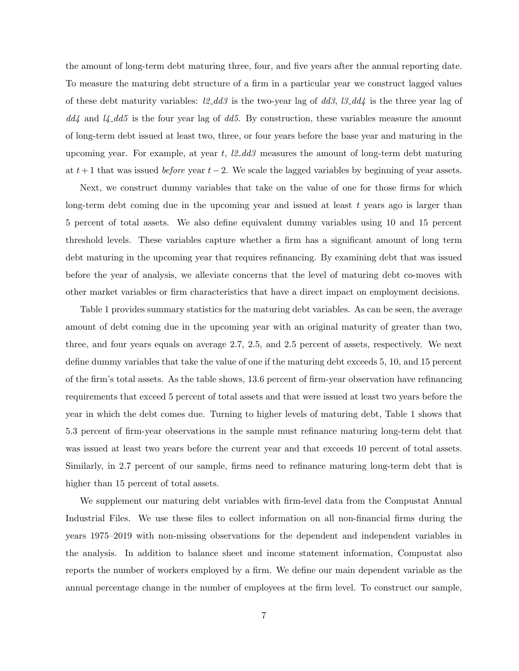the amount of long-term debt maturing three, four, and five years after the annual reporting date. To measure the maturing debt structure of a firm in a particular year we construct lagged values of these debt maturity variables:  $l2$ -dd3 is the two-year lag of dd3,  $l3$ -dd4 is the three year lag of  $dd4$  and  $\mu$ - $dd5$  is the four year lag of  $dd5$ . By construction, these variables measure the amount of long-term debt issued at least two, three, or four years before the base year and maturing in the upcoming year. For example, at year t,  $l2_d d3$  measures the amount of long-term debt maturing at  $t+1$  that was issued *before* year  $t-2$ . We scale the lagged variables by beginning of year assets.

Next, we construct dummy variables that take on the value of one for those firms for which long-term debt coming due in the upcoming year and issued at least  $t$  years ago is larger than 5 percent of total assets. We also define equivalent dummy variables using 10 and 15 percent threshold levels. These variables capture whether a firm has a significant amount of long term debt maturing in the upcoming year that requires refinancing. By examining debt that was issued before the year of analysis, we alleviate concerns that the level of maturing debt co-moves with other market variables or firm characteristics that have a direct impact on employment decisions.

Table 1 provides summary statistics for the maturing debt variables. As can be seen, the average amount of debt coming due in the upcoming year with an original maturity of greater than two, three, and four years equals on average 2.7, 2.5, and 2.5 percent of assets, respectively. We next define dummy variables that take the value of one if the maturing debt exceeds 5, 10, and 15 percent of the firm's total assets. As the table shows, 13.6 percent of firm-year observation have refinancing requirements that exceed 5 percent of total assets and that were issued at least two years before the year in which the debt comes due. Turning to higher levels of maturing debt, Table 1 shows that 5.3 percent of firm-year observations in the sample must refinance maturing long-term debt that was issued at least two years before the current year and that exceeds 10 percent of total assets. Similarly, in 2.7 percent of our sample, firms need to refinance maturing long-term debt that is higher than 15 percent of total assets.

We supplement our maturing debt variables with firm-level data from the Compustat Annual Industrial Files. We use these files to collect information on all non-financial firms during the years 1975–2019 with non-missing observations for the dependent and independent variables in the analysis. In addition to balance sheet and income statement information, Compustat also reports the number of workers employed by a firm. We define our main dependent variable as the annual percentage change in the number of employees at the firm level. To construct our sample,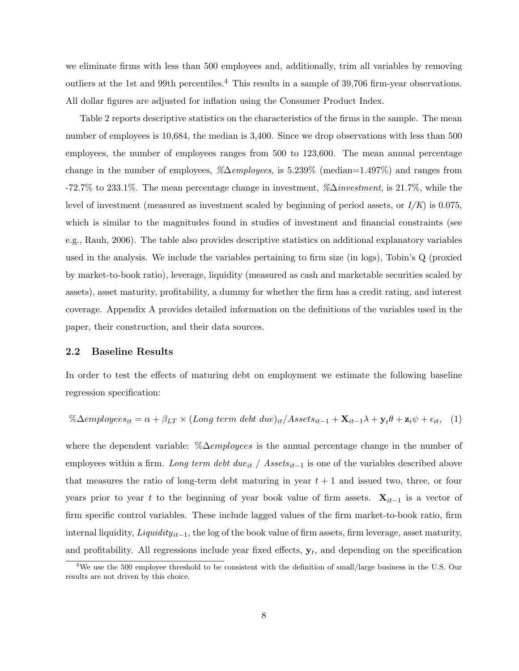we eliminate firms with less than 500 employees and, additionally, trim all variables by removing outliers at the 1st and 99th percentiles.<sup>4</sup> This results in a sample of  $39,706$  firm-year observations. All dollar figures are adjusted for inflation using the Consumer Product Index.

Table 2 reports descriptive statistics on the characteristics of the firms in the sample. The mean number of employees is 10,684, the median is 3,400. Since we drop observations with less than 500 employees, the number of employees ranges from 500 to 123,600. The mean annual percentage change in the number of employees,  $\%\Delta{employes}$ , is 5.239% (median=1.497%) and ranges from -72.7% to 233.1%. The mean percentage change in investment,  $\%\Delta$ *investment*, is 21.7%, while the level of investment (measured as investment scaled by beginning of period assets, or  $I/K$ ) is 0.075, which is similar to the magnitudes found in studies of investment and financial constraints (see e.g., Rauh, 2006). The table also provides descriptive statistics on additional explanatory variables used in the analysis. We include the variables pertaining to firm size (in logs), Tobin's Q (proxied by market-to-book ratio), leverage, liquidity (measured as cash and marketable securities scaled by assets), asset maturity, profitability, a dummy for whether the firm has a credit rating, and interest coverage. Appendix A provides detailed information on the definitions of the variables used in the paper, their construction, and their data sources.

## 2.2 Baseline Results

In order to test the effects of maturing debt on employment we estimate the following baseline regression specification:

$$
\% \Delta employees_{it} = \alpha + \beta_{LT} \times (Long\ term\ debt\ due)_{it}/Assets_{it-1} + \mathbf{X}_{it-1}\lambda + \mathbf{y}_{t}\theta + \mathbf{z}_{it}\psi + \epsilon_{it}, \quad (1)
$$

where the dependent variable: % $\Delta$ *employees* is the annual percentage change in the number of employees within a firm. Long term debt due<sub>it</sub> / Assets<sub>it−1</sub> is one of the variables described above that measures the ratio of long-term debt maturing in year  $t + 1$  and issued two, three, or four years prior to year t to the beginning of year book value of firm assets.  $\mathbf{X}_{it-1}$  is a vector of firm specific control variables. These include lagged values of the firm market-to-book ratio, firm internal liquidity,  $Liquidity_{it-1}$ , the log of the book value of firm assets, firm leverage, asset maturity, and profitability. All regressions include year fixed effects,  $y_t$ , and depending on the specification

<sup>&</sup>lt;sup>4</sup>We use the 500 employee threshold to be consistent with the definition of small/large business in the U.S. Our results are not driven by this choice.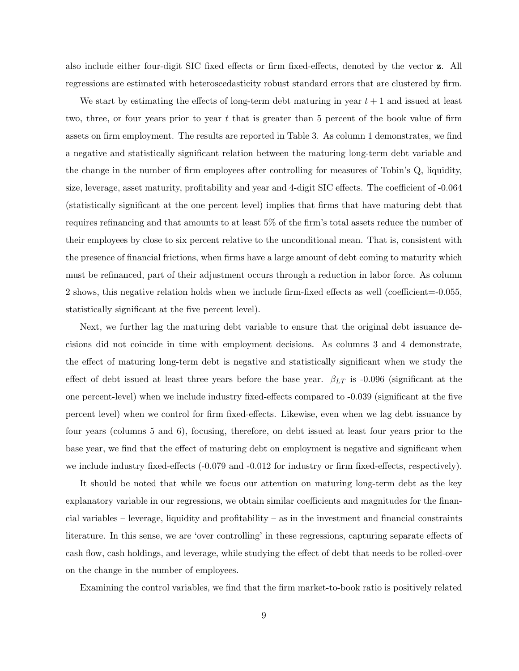also include either four-digit SIC fixed effects or firm fixed-effects, denoted by the vector z. All regressions are estimated with heteroscedasticity robust standard errors that are clustered by firm.

We start by estimating the effects of long-term debt maturing in year  $t + 1$  and issued at least two, three, or four years prior to year  $t$  that is greater than 5 percent of the book value of firm assets on firm employment. The results are reported in Table 3. As column 1 demonstrates, we find a negative and statistically significant relation between the maturing long-term debt variable and the change in the number of firm employees after controlling for measures of Tobin's Q, liquidity, size, leverage, asset maturity, profitability and year and 4-digit SIC effects. The coefficient of -0.064 (statistically significant at the one percent level) implies that firms that have maturing debt that requires refinancing and that amounts to at least 5% of the firm's total assets reduce the number of their employees by close to six percent relative to the unconditional mean. That is, consistent with the presence of financial frictions, when firms have a large amount of debt coming to maturity which must be refinanced, part of their adjustment occurs through a reduction in labor force. As column 2 shows, this negative relation holds when we include firm-fixed effects as well (coefficient=-0.055, statistically significant at the five percent level).

Next, we further lag the maturing debt variable to ensure that the original debt issuance decisions did not coincide in time with employment decisions. As columns 3 and 4 demonstrate, the effect of maturing long-term debt is negative and statistically significant when we study the effect of debt issued at least three years before the base year.  $\beta_{LT}$  is -0.096 (significant at the one percent-level) when we include industry fixed-effects compared to -0.039 (significant at the five percent level) when we control for firm fixed-effects. Likewise, even when we lag debt issuance by four years (columns 5 and 6), focusing, therefore, on debt issued at least four years prior to the base year, we find that the effect of maturing debt on employment is negative and significant when we include industry fixed-effects  $(-0.079 \text{ and } -0.012 \text{ for industry or firm fixed-effects, respectively}).$ 

It should be noted that while we focus our attention on maturing long-term debt as the key explanatory variable in our regressions, we obtain similar coefficients and magnitudes for the financial variables – leverage, liquidity and profitability – as in the investment and financial constraints literature. In this sense, we are 'over controlling' in these regressions, capturing separate effects of cash flow, cash holdings, and leverage, while studying the effect of debt that needs to be rolled-over on the change in the number of employees.

Examining the control variables, we find that the firm market-to-book ratio is positively related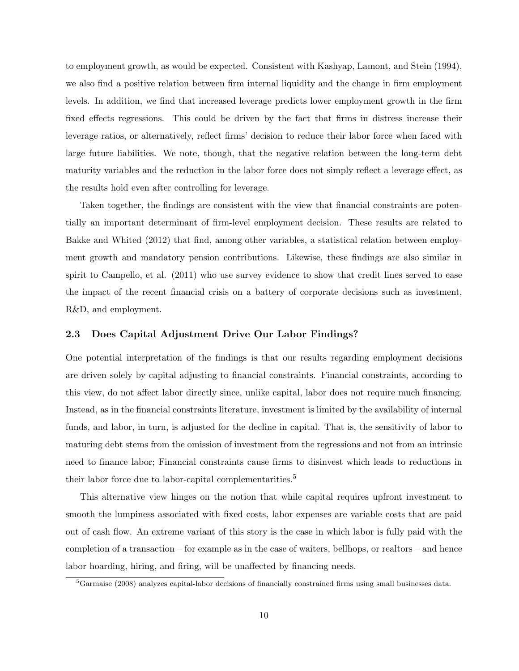to employment growth, as would be expected. Consistent with Kashyap, Lamont, and Stein (1994), we also find a positive relation between firm internal liquidity and the change in firm employment levels. In addition, we find that increased leverage predicts lower employment growth in the firm fixed effects regressions. This could be driven by the fact that firms in distress increase their leverage ratios, or alternatively, reflect firms' decision to reduce their labor force when faced with large future liabilities. We note, though, that the negative relation between the long-term debt maturity variables and the reduction in the labor force does not simply reflect a leverage effect, as the results hold even after controlling for leverage.

Taken together, the findings are consistent with the view that financial constraints are potentially an important determinant of firm-level employment decision. These results are related to Bakke and Whited (2012) that find, among other variables, a statistical relation between employment growth and mandatory pension contributions. Likewise, these findings are also similar in spirit to Campello, et al. (2011) who use survey evidence to show that credit lines served to ease the impact of the recent financial crisis on a battery of corporate decisions such as investment, R&D, and employment.

#### 2.3 Does Capital Adjustment Drive Our Labor Findings?

One potential interpretation of the findings is that our results regarding employment decisions are driven solely by capital adjusting to financial constraints. Financial constraints, according to this view, do not affect labor directly since, unlike capital, labor does not require much financing. Instead, as in the financial constraints literature, investment is limited by the availability of internal funds, and labor, in turn, is adjusted for the decline in capital. That is, the sensitivity of labor to maturing debt stems from the omission of investment from the regressions and not from an intrinsic need to finance labor; Financial constraints cause firms to disinvest which leads to reductions in their labor force due to labor-capital complementarities.<sup>5</sup>

This alternative view hinges on the notion that while capital requires upfront investment to smooth the lumpiness associated with fixed costs, labor expenses are variable costs that are paid out of cash flow. An extreme variant of this story is the case in which labor is fully paid with the completion of a transaction – for example as in the case of waiters, bellhops, or realtors – and hence labor hoarding, hiring, and firing, will be unaffected by financing needs.

<sup>5</sup>Garmaise (2008) analyzes capital-labor decisions of financially constrained firms using small businesses data.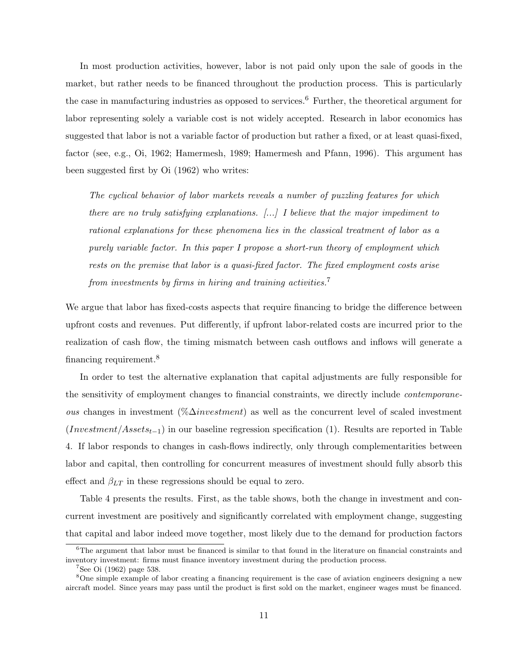In most production activities, however, labor is not paid only upon the sale of goods in the market, but rather needs to be financed throughout the production process. This is particularly the case in manufacturing industries as opposed to services.<sup>6</sup> Further, the theoretical argument for labor representing solely a variable cost is not widely accepted. Research in labor economics has suggested that labor is not a variable factor of production but rather a fixed, or at least quasi-fixed, factor (see, e.g., Oi, 1962; Hamermesh, 1989; Hamermesh and Pfann, 1996). This argument has been suggested first by Oi (1962) who writes:

The cyclical behavior of labor markets reveals a number of puzzling features for which there are no truly satisfying explanations.  $[\ldots]$  I believe that the major impediment to rational explanations for these phenomena lies in the classical treatment of labor as a purely variable factor. In this paper I propose a short-run theory of employment which rests on the premise that labor is a quasi-fixed factor. The fixed employment costs arise from investments by firms in hiring and training activities.<sup>7</sup>

We argue that labor has fixed-costs aspects that require financing to bridge the difference between upfront costs and revenues. Put differently, if upfront labor-related costs are incurred prior to the realization of cash flow, the timing mismatch between cash outflows and inflows will generate a financing requirement.<sup>8</sup>

In order to test the alternative explanation that capital adjustments are fully responsible for the sensitivity of employment changes to financial constraints, we directly include contemporane*ous* changes in investment (% $\Delta$ *investment*) as well as the concurrent level of scaled investment (Investment/Assets<sub>t-1</sub>) in our baseline regression specification (1). Results are reported in Table 4. If labor responds to changes in cash-flows indirectly, only through complementarities between labor and capital, then controlling for concurrent measures of investment should fully absorb this effect and  $\beta_{LT}$  in these regressions should be equal to zero.

Table 4 presents the results. First, as the table shows, both the change in investment and concurrent investment are positively and significantly correlated with employment change, suggesting that capital and labor indeed move together, most likely due to the demand for production factors

 $6$ The argument that labor must be financed is similar to that found in the literature on financial constraints and inventory investment: firms must finance inventory investment during the production process.

 $7$ See Oi (1962) page 538.

<sup>8</sup>One simple example of labor creating a financing requirement is the case of aviation engineers designing a new aircraft model. Since years may pass until the product is first sold on the market, engineer wages must be financed.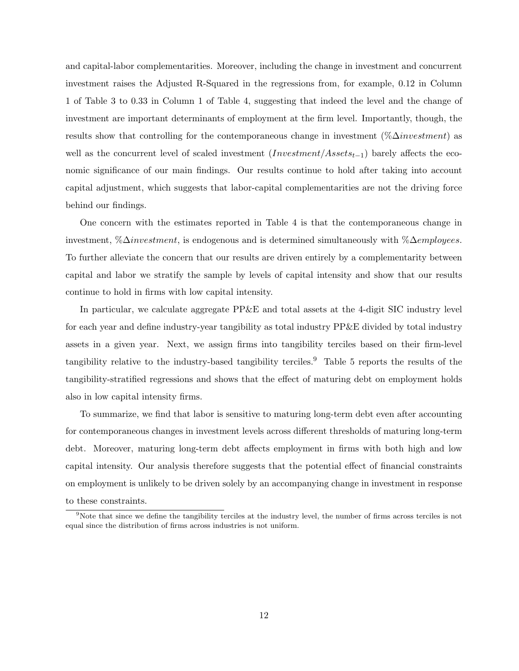and capital-labor complementarities. Moreover, including the change in investment and concurrent investment raises the Adjusted R-Squared in the regressions from, for example, 0.12 in Column 1 of Table 3 to 0.33 in Column 1 of Table 4, suggesting that indeed the level and the change of investment are important determinants of employment at the firm level. Importantly, though, the results show that controlling for the contemporaneous change in investment ( $\% \Delta investment$ ) as well as the concurrent level of scaled investment  $(Investment/Assets_{t-1})$  barely affects the economic significance of our main findings. Our results continue to hold after taking into account capital adjustment, which suggests that labor-capital complementarities are not the driving force behind our findings.

One concern with the estimates reported in Table 4 is that the contemporaneous change in investment, %∆investment, is endogenous and is determined simultaneously with %∆employees. To further alleviate the concern that our results are driven entirely by a complementarity between capital and labor we stratify the sample by levels of capital intensity and show that our results continue to hold in firms with low capital intensity.

In particular, we calculate aggregate PP&E and total assets at the 4-digit SIC industry level for each year and define industry-year tangibility as total industry PP&E divided by total industry assets in a given year. Next, we assign firms into tangibility terciles based on their firm-level tangibility relative to the industry-based tangibility terciles.<sup>9</sup> Table 5 reports the results of the tangibility-stratified regressions and shows that the effect of maturing debt on employment holds also in low capital intensity firms.

To summarize, we find that labor is sensitive to maturing long-term debt even after accounting for contemporaneous changes in investment levels across different thresholds of maturing long-term debt. Moreover, maturing long-term debt affects employment in firms with both high and low capital intensity. Our analysis therefore suggests that the potential effect of financial constraints on employment is unlikely to be driven solely by an accompanying change in investment in response to these constraints.

<sup>&</sup>lt;sup>9</sup>Note that since we define the tangibility terciles at the industry level, the number of firms across terciles is not equal since the distribution of firms across industries is not uniform.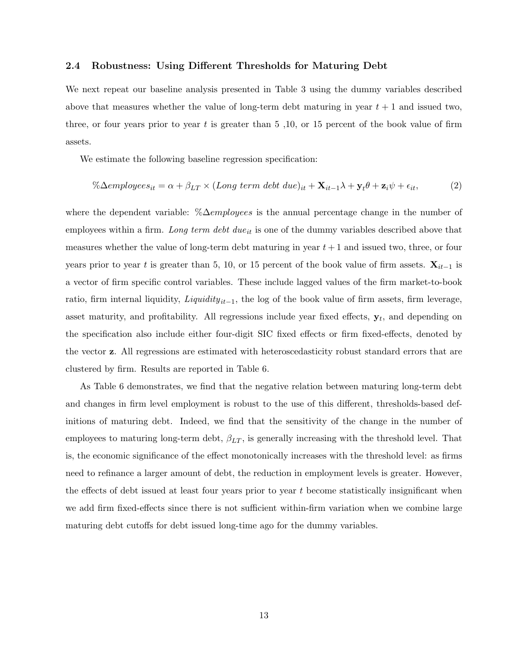## 2.4 Robustness: Using Different Thresholds for Maturing Debt

We next repeat our baseline analysis presented in Table 3 using the dummy variables described above that measures whether the value of long-term debt maturing in year  $t + 1$  and issued two, three, or four years prior to year t is greater than  $5,10,$  or  $15$  percent of the book value of firm assets.

We estimate the following baseline regression specification:

$$
\%\Delta employees_{it} = \alpha + \beta_{LT} \times (Long\ term\ debt\ due)_{it} + \mathbf{X}_{it-1}\lambda + \mathbf{y}_{t}\theta + \mathbf{z}_{it}\psi + \epsilon_{it},\tag{2}
$$

where the dependent variable:  $\% \Delta$ *employees* is the annual percentage change in the number of employees within a firm. Long term debt due<sub>it</sub> is one of the dummy variables described above that measures whether the value of long-term debt maturing in year  $t + 1$  and issued two, three, or four years prior to year t is greater than 5, 10, or 15 percent of the book value of firm assets.  $\mathbf{X}_{it-1}$  is a vector of firm specific control variables. These include lagged values of the firm market-to-book ratio, firm internal liquidity,  $Lightity_{it-1}$ , the log of the book value of firm assets, firm leverage, asset maturity, and profitability. All regressions include year fixed effects,  $y_t$ , and depending on the specification also include either four-digit SIC fixed effects or firm fixed-effects, denoted by the vector z. All regressions are estimated with heteroscedasticity robust standard errors that are clustered by firm. Results are reported in Table 6.

As Table 6 demonstrates, we find that the negative relation between maturing long-term debt and changes in firm level employment is robust to the use of this different, thresholds-based definitions of maturing debt. Indeed, we find that the sensitivity of the change in the number of employees to maturing long-term debt,  $\beta_{LT}$ , is generally increasing with the threshold level. That is, the economic significance of the effect monotonically increases with the threshold level: as firms need to refinance a larger amount of debt, the reduction in employment levels is greater. However, the effects of debt issued at least four years prior to year  $t$  become statistically insignificant when we add firm fixed-effects since there is not sufficient within-firm variation when we combine large maturing debt cutoffs for debt issued long-time ago for the dummy variables.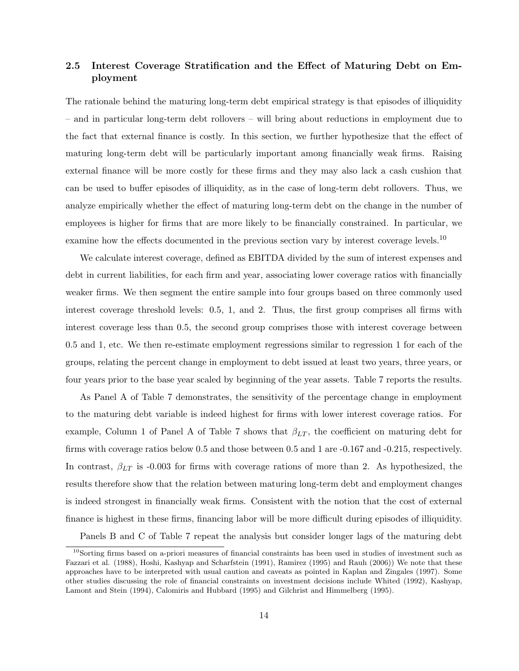# 2.5 Interest Coverage Stratification and the Effect of Maturing Debt on Employment

The rationale behind the maturing long-term debt empirical strategy is that episodes of illiquidity – and in particular long-term debt rollovers – will bring about reductions in employment due to the fact that external finance is costly. In this section, we further hypothesize that the effect of maturing long-term debt will be particularly important among financially weak firms. Raising external finance will be more costly for these firms and they may also lack a cash cushion that can be used to buffer episodes of illiquidity, as in the case of long-term debt rollovers. Thus, we analyze empirically whether the effect of maturing long-term debt on the change in the number of employees is higher for firms that are more likely to be financially constrained. In particular, we examine how the effects documented in the previous section vary by interest coverage levels.<sup>10</sup>

We calculate interest coverage, defined as EBITDA divided by the sum of interest expenses and debt in current liabilities, for each firm and year, associating lower coverage ratios with financially weaker firms. We then segment the entire sample into four groups based on three commonly used interest coverage threshold levels: 0.5, 1, and 2. Thus, the first group comprises all firms with interest coverage less than 0.5, the second group comprises those with interest coverage between 0.5 and 1, etc. We then re-estimate employment regressions similar to regression 1 for each of the groups, relating the percent change in employment to debt issued at least two years, three years, or four years prior to the base year scaled by beginning of the year assets. Table 7 reports the results.

As Panel A of Table 7 demonstrates, the sensitivity of the percentage change in employment to the maturing debt variable is indeed highest for firms with lower interest coverage ratios. For example, Column 1 of Panel A of Table 7 shows that  $\beta_{LT}$ , the coefficient on maturing debt for firms with coverage ratios below 0.5 and those between 0.5 and 1 are -0.167 and -0.215, respectively. In contrast,  $\beta_{LT}$  is -0.003 for firms with coverage rations of more than 2. As hypothesized, the results therefore show that the relation between maturing long-term debt and employment changes is indeed strongest in financially weak firms. Consistent with the notion that the cost of external finance is highest in these firms, financing labor will be more difficult during episodes of illiquidity.

Panels B and C of Table 7 repeat the analysis but consider longer lags of the maturing debt

 $10$ Sorting firms based on a-priori measures of financial constraints has been used in studies of investment such as Fazzari et al. (1988), Hoshi, Kashyap and Scharfstein (1991), Ramirez (1995) and Rauh (2006)) We note that these approaches have to be interpreted with usual caution and caveats as pointed in Kaplan and Zingales (1997). Some other studies discussing the role of financial constraints on investment decisions include Whited (1992), Kashyap, Lamont and Stein (1994), Calomiris and Hubbard (1995) and Gilchrist and Himmelberg (1995).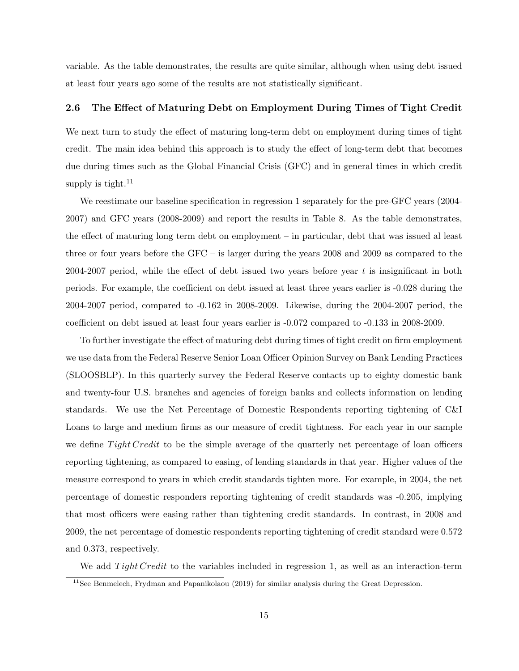variable. As the table demonstrates, the results are quite similar, although when using debt issued at least four years ago some of the results are not statistically significant.

# 2.6 The Effect of Maturing Debt on Employment During Times of Tight Credit

We next turn to study the effect of maturing long-term debt on employment during times of tight credit. The main idea behind this approach is to study the effect of long-term debt that becomes due during times such as the Global Financial Crisis (GFC) and in general times in which credit supply is tight.<sup>11</sup>

We reestimate our baseline specification in regression 1 separately for the pre-GFC years (2004- 2007) and GFC years (2008-2009) and report the results in Table 8. As the table demonstrates, the effect of maturing long term debt on employment – in particular, debt that was issued al least three or four years before the GFC – is larger during the years 2008 and 2009 as compared to the 2004-2007 period, while the effect of debt issued two years before year t is insignificant in both periods. For example, the coefficient on debt issued at least three years earlier is -0.028 during the 2004-2007 period, compared to -0.162 in 2008-2009. Likewise, during the 2004-2007 period, the coefficient on debt issued at least four years earlier is -0.072 compared to -0.133 in 2008-2009.

To further investigate the effect of maturing debt during times of tight credit on firm employment we use data from the Federal Reserve Senior Loan Officer Opinion Survey on Bank Lending Practices (SLOOSBLP). In this quarterly survey the Federal Reserve contacts up to eighty domestic bank and twenty-four U.S. branches and agencies of foreign banks and collects information on lending standards. We use the Net Percentage of Domestic Respondents reporting tightening of C&I Loans to large and medium firms as our measure of credit tightness. For each year in our sample we define  $Tight Credit$  to be the simple average of the quarterly net percentage of loan officers reporting tightening, as compared to easing, of lending standards in that year. Higher values of the measure correspond to years in which credit standards tighten more. For example, in 2004, the net percentage of domestic responders reporting tightening of credit standards was -0.205, implying that most officers were easing rather than tightening credit standards. In contrast, in 2008 and 2009, the net percentage of domestic respondents reporting tightening of credit standard were 0.572 and 0.373, respectively.

We add  $Tight Credit$  to the variables included in regression 1, as well as an interaction-term

<sup>&</sup>lt;sup>11</sup>See Benmelech, Frydman and Papanikolaou (2019) for similar analysis during the Great Depression.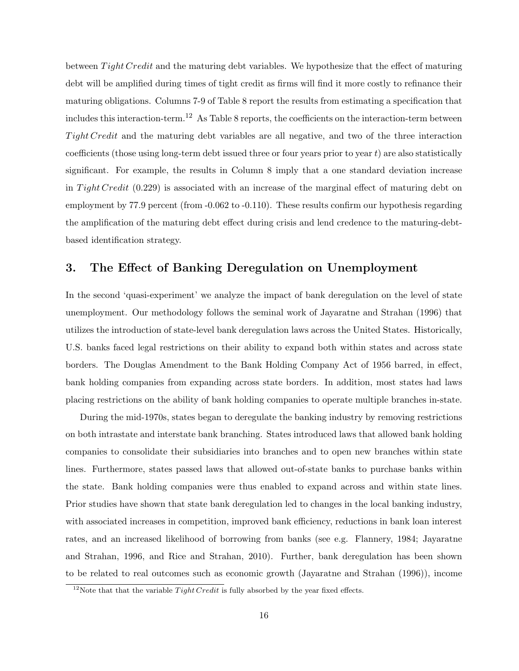between  $Tight Credit$  and the maturing debt variables. We hypothesize that the effect of maturing debt will be amplified during times of tight credit as firms will find it more costly to refinance their maturing obligations. Columns 7-9 of Table 8 report the results from estimating a specification that includes this interaction-term.<sup>12</sup> As Table 8 reports, the coefficients on the interaction-term between Tight Credit and the maturing debt variables are all negative, and two of the three interaction coefficients (those using long-term debt issued three or four years prior to year  $t$ ) are also statistically significant. For example, the results in Column 8 imply that a one standard deviation increase in Tight Credit  $(0.229)$  is associated with an increase of the marginal effect of maturing debt on employment by 77.9 percent (from -0.062 to -0.110). These results confirm our hypothesis regarding the amplification of the maturing debt effect during crisis and lend credence to the maturing-debtbased identification strategy.

# 3. The Effect of Banking Deregulation on Unemployment

In the second 'quasi-experiment' we analyze the impact of bank deregulation on the level of state unemployment. Our methodology follows the seminal work of Jayaratne and Strahan (1996) that utilizes the introduction of state-level bank deregulation laws across the United States. Historically, U.S. banks faced legal restrictions on their ability to expand both within states and across state borders. The Douglas Amendment to the Bank Holding Company Act of 1956 barred, in effect, bank holding companies from expanding across state borders. In addition, most states had laws placing restrictions on the ability of bank holding companies to operate multiple branches in-state.

During the mid-1970s, states began to deregulate the banking industry by removing restrictions on both intrastate and interstate bank branching. States introduced laws that allowed bank holding companies to consolidate their subsidiaries into branches and to open new branches within state lines. Furthermore, states passed laws that allowed out-of-state banks to purchase banks within the state. Bank holding companies were thus enabled to expand across and within state lines. Prior studies have shown that state bank deregulation led to changes in the local banking industry, with associated increases in competition, improved bank efficiency, reductions in bank loan interest rates, and an increased likelihood of borrowing from banks (see e.g. Flannery, 1984; Jayaratne and Strahan, 1996, and Rice and Strahan, 2010). Further, bank deregulation has been shown to be related to real outcomes such as economic growth (Jayaratne and Strahan (1996)), income

<sup>&</sup>lt;sup>12</sup>Note that that the variable  $Tight Credit$  is fully absorbed by the year fixed effects.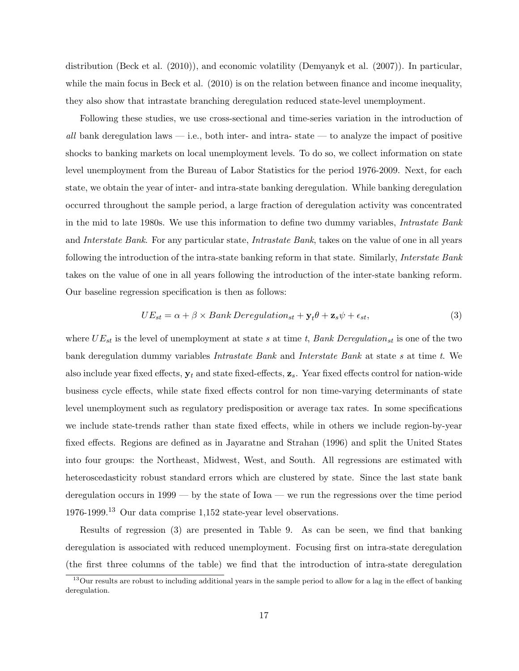distribution (Beck et al. (2010)), and economic volatility (Demyanyk et al. (2007)). In particular, while the main focus in Beck et al.  $(2010)$  is on the relation between finance and income inequality, they also show that intrastate branching deregulation reduced state-level unemployment.

Following these studies, we use cross-sectional and time-series variation in the introduction of all bank deregulation laws  $-$  i.e., both inter- and intra-state  $-$  to analyze the impact of positive shocks to banking markets on local unemployment levels. To do so, we collect information on state level unemployment from the Bureau of Labor Statistics for the period 1976-2009. Next, for each state, we obtain the year of inter- and intra-state banking deregulation. While banking deregulation occurred throughout the sample period, a large fraction of deregulation activity was concentrated in the mid to late 1980s. We use this information to define two dummy variables, Intrastate Bank and Interstate Bank. For any particular state, Intrastate Bank, takes on the value of one in all years following the introduction of the intra-state banking reform in that state. Similarly, *Interstate Bank* takes on the value of one in all years following the introduction of the inter-state banking reform. Our baseline regression specification is then as follows:

$$
UE_{st} = \alpha + \beta \times Bank \, Deregulation_{st} + \mathbf{y}_t \theta + \mathbf{z}_s \psi + \epsilon_{st},\tag{3}
$$

where  $UE_{st}$  is the level of unemployment at state s at time t, Bank Deregulation<sub>st</sub> is one of the two bank deregulation dummy variables Intrastate Bank and Interstate Bank at state s at time t. We also include year fixed effects,  $y_t$  and state fixed-effects,  $z_s$ . Year fixed effects control for nation-wide business cycle effects, while state fixed effects control for non time-varying determinants of state level unemployment such as regulatory predisposition or average tax rates. In some specifications we include state-trends rather than state fixed effects, while in others we include region-by-year fixed effects. Regions are defined as in Jayaratne and Strahan (1996) and split the United States into four groups: the Northeast, Midwest, West, and South. All regressions are estimated with heteroscedasticity robust standard errors which are clustered by state. Since the last state bank deregulation occurs in 1999 — by the state of Iowa — we run the regressions over the time period 1976-1999.<sup>13</sup> Our data comprise 1,152 state-year level observations.

Results of regression (3) are presented in Table 9. As can be seen, we find that banking deregulation is associated with reduced unemployment. Focusing first on intra-state deregulation (the first three columns of the table) we find that the introduction of intra-state deregulation

<sup>&</sup>lt;sup>13</sup>Our results are robust to including additional years in the sample period to allow for a lag in the effect of banking deregulation.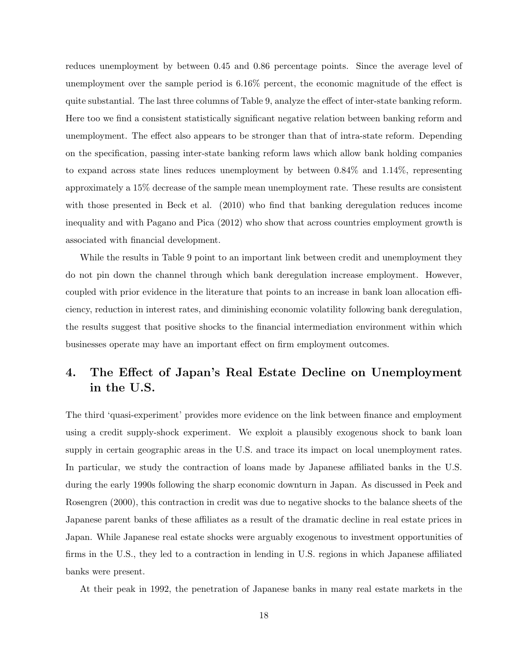reduces unemployment by between 0.45 and 0.86 percentage points. Since the average level of unemployment over the sample period is 6.16% percent, the economic magnitude of the effect is quite substantial. The last three columns of Table 9, analyze the effect of inter-state banking reform. Here too we find a consistent statistically significant negative relation between banking reform and unemployment. The effect also appears to be stronger than that of intra-state reform. Depending on the specification, passing inter-state banking reform laws which allow bank holding companies to expand across state lines reduces unemployment by between 0.84% and 1.14%, representing approximately a 15% decrease of the sample mean unemployment rate. These results are consistent with those presented in Beck et al. (2010) who find that banking deregulation reduces income inequality and with Pagano and Pica (2012) who show that across countries employment growth is associated with financial development.

While the results in Table 9 point to an important link between credit and unemployment they do not pin down the channel through which bank deregulation increase employment. However, coupled with prior evidence in the literature that points to an increase in bank loan allocation efficiency, reduction in interest rates, and diminishing economic volatility following bank deregulation, the results suggest that positive shocks to the financial intermediation environment within which businesses operate may have an important effect on firm employment outcomes.

# 4. The Effect of Japan's Real Estate Decline on Unemployment in the U.S.

The third 'quasi-experiment' provides more evidence on the link between finance and employment using a credit supply-shock experiment. We exploit a plausibly exogenous shock to bank loan supply in certain geographic areas in the U.S. and trace its impact on local unemployment rates. In particular, we study the contraction of loans made by Japanese affiliated banks in the U.S. during the early 1990s following the sharp economic downturn in Japan. As discussed in Peek and Rosengren (2000), this contraction in credit was due to negative shocks to the balance sheets of the Japanese parent banks of these affiliates as a result of the dramatic decline in real estate prices in Japan. While Japanese real estate shocks were arguably exogenous to investment opportunities of firms in the U.S., they led to a contraction in lending in U.S. regions in which Japanese affiliated banks were present.

At their peak in 1992, the penetration of Japanese banks in many real estate markets in the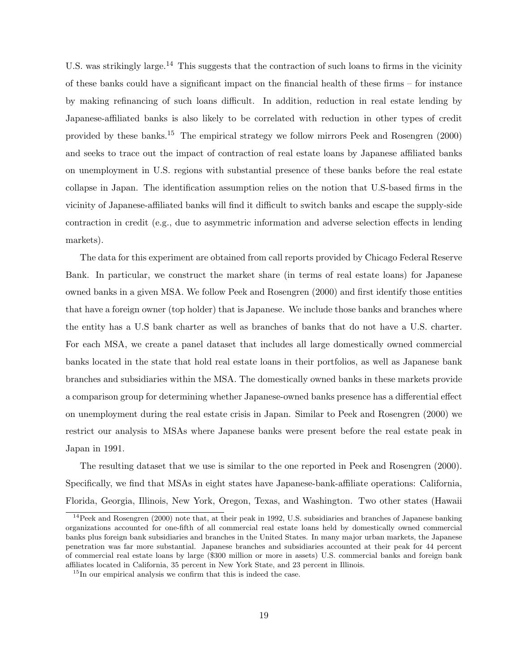U.S. was strikingly large.<sup>14</sup> This suggests that the contraction of such loans to firms in the vicinity of these banks could have a significant impact on the financial health of these firms – for instance by making refinancing of such loans difficult. In addition, reduction in real estate lending by Japanese-affiliated banks is also likely to be correlated with reduction in other types of credit provided by these banks.<sup>15</sup> The empirical strategy we follow mirrors Peek and Rosengren  $(2000)$ and seeks to trace out the impact of contraction of real estate loans by Japanese affiliated banks on unemployment in U.S. regions with substantial presence of these banks before the real estate collapse in Japan. The identification assumption relies on the notion that U.S-based firms in the vicinity of Japanese-affiliated banks will find it difficult to switch banks and escape the supply-side contraction in credit (e.g., due to asymmetric information and adverse selection effects in lending markets).

The data for this experiment are obtained from call reports provided by Chicago Federal Reserve Bank. In particular, we construct the market share (in terms of real estate loans) for Japanese owned banks in a given MSA. We follow Peek and Rosengren (2000) and first identify those entities that have a foreign owner (top holder) that is Japanese. We include those banks and branches where the entity has a U.S bank charter as well as branches of banks that do not have a U.S. charter. For each MSA, we create a panel dataset that includes all large domestically owned commercial banks located in the state that hold real estate loans in their portfolios, as well as Japanese bank branches and subsidiaries within the MSA. The domestically owned banks in these markets provide a comparison group for determining whether Japanese-owned banks presence has a differential effect on unemployment during the real estate crisis in Japan. Similar to Peek and Rosengren (2000) we restrict our analysis to MSAs where Japanese banks were present before the real estate peak in Japan in 1991.

The resulting dataset that we use is similar to the one reported in Peek and Rosengren (2000). Specifically, we find that MSAs in eight states have Japanese-bank-affiliate operations: California, Florida, Georgia, Illinois, New York, Oregon, Texas, and Washington. Two other states (Hawaii

 $14$ Peek and Rosengren (2000) note that, at their peak in 1992, U.S. subsidiaries and branches of Japanese banking organizations accounted for one-fifth of all commercial real estate loans held by domestically owned commercial banks plus foreign bank subsidiaries and branches in the United States. In many major urban markets, the Japanese penetration was far more substantial. Japanese branches and subsidiaries accounted at their peak for 44 percent of commercial real estate loans by large (\$300 million or more in assets) U.S. commercial banks and foreign bank affiliates located in California, 35 percent in New York State, and 23 percent in Illinois.

 $15$ In our empirical analysis we confirm that this is indeed the case.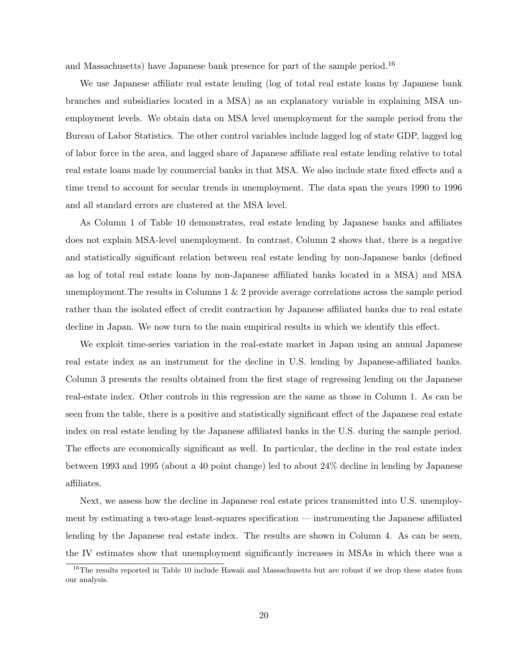and Massachusetts) have Japanese bank presence for part of the sample period.<sup>16</sup>

We use Japanese affiliate real estate lending (log of total real estate loans by Japanese bank branches and subsidiaries located in a MSA) as an explanatory variable in explaining MSA unemployment levels. We obtain data on MSA level unemployment for the sample period from the Bureau of Labor Statistics. The other control variables include lagged log of state GDP, lagged log of labor force in the area, and lagged share of Japanese affiliate real estate lending relative to total real estate loans made by commercial banks in that MSA. We also include state fixed effects and a time trend to account for secular trends in unemployment. The data span the years 1990 to 1996 and all standard errors are clustered at the MSA level.

As Column 1 of Table 10 demonstrates, real estate lending by Japanese banks and affiliates does not explain MSA-level unemployment. In contrast, Column 2 shows that, there is a negative and statistically significant relation between real estate lending by non-Japanese banks (defined as log of total real estate loans by non-Japanese affiliated banks located in a MSA) and MSA unemployment.The results in Columns 1 & 2 provide average correlations across the sample period rather than the isolated effect of credit contraction by Japanese affiliated banks due to real estate decline in Japan. We now turn to the main empirical results in which we identify this effect.

We exploit time-series variation in the real-estate market in Japan using an annual Japanese real estate index as an instrument for the decline in U.S. lending by Japanese-affiliated banks. Column 3 presents the results obtained from the first stage of regressing lending on the Japanese real-estate index. Other controls in this regression are the same as those in Column 1. As can be seen from the table, there is a positive and statistically significant effect of the Japanese real estate index on real estate lending by the Japanese affiliated banks in the U.S. during the sample period. The effects are economically significant as well. In particular, the decline in the real estate index between 1993 and 1995 (about a 40 point change) led to about 24% decline in lending by Japanese affiliates.

Next, we assess how the decline in Japanese real estate prices transmitted into U.S. unemployment by estimating a two-stage least-squares specification — instrumenting the Japanese affiliated lending by the Japanese real estate index. The results are shown in Column 4. As can be seen, the IV estimates show that unemployment significantly increases in MSAs in which there was a

<sup>&</sup>lt;sup>16</sup>The results reported in Table 10 include Hawaii and Massachusetts but are robust if we drop these states from our analysis.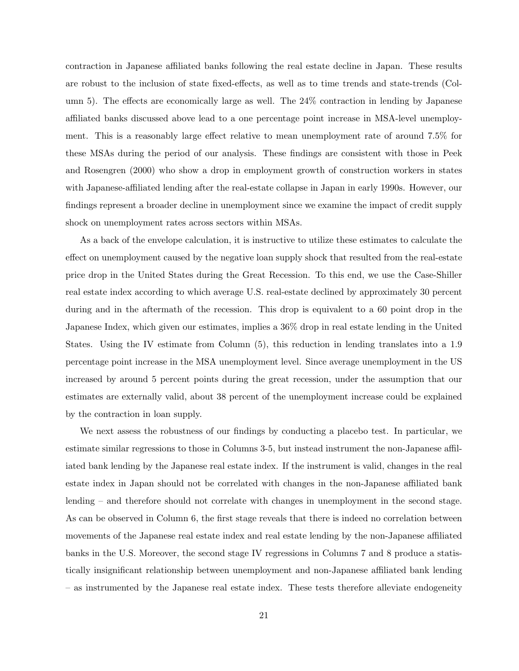contraction in Japanese affiliated banks following the real estate decline in Japan. These results are robust to the inclusion of state fixed-effects, as well as to time trends and state-trends (Column 5). The effects are economically large as well. The 24% contraction in lending by Japanese affiliated banks discussed above lead to a one percentage point increase in MSA-level unemployment. This is a reasonably large effect relative to mean unemployment rate of around 7.5% for these MSAs during the period of our analysis. These findings are consistent with those in Peek and Rosengren (2000) who show a drop in employment growth of construction workers in states with Japanese-affiliated lending after the real-estate collapse in Japan in early 1990s. However, our findings represent a broader decline in unemployment since we examine the impact of credit supply shock on unemployment rates across sectors within MSAs.

As a back of the envelope calculation, it is instructive to utilize these estimates to calculate the effect on unemployment caused by the negative loan supply shock that resulted from the real-estate price drop in the United States during the Great Recession. To this end, we use the Case-Shiller real estate index according to which average U.S. real-estate declined by approximately 30 percent during and in the aftermath of the recession. This drop is equivalent to a 60 point drop in the Japanese Index, which given our estimates, implies a 36% drop in real estate lending in the United States. Using the IV estimate from Column (5), this reduction in lending translates into a 1.9 percentage point increase in the MSA unemployment level. Since average unemployment in the US increased by around 5 percent points during the great recession, under the assumption that our estimates are externally valid, about 38 percent of the unemployment increase could be explained by the contraction in loan supply.

We next assess the robustness of our findings by conducting a placebo test. In particular, we estimate similar regressions to those in Columns 3-5, but instead instrument the non-Japanese affiliated bank lending by the Japanese real estate index. If the instrument is valid, changes in the real estate index in Japan should not be correlated with changes in the non-Japanese affiliated bank lending – and therefore should not correlate with changes in unemployment in the second stage. As can be observed in Column 6, the first stage reveals that there is indeed no correlation between movements of the Japanese real estate index and real estate lending by the non-Japanese affiliated banks in the U.S. Moreover, the second stage IV regressions in Columns 7 and 8 produce a statistically insignificant relationship between unemployment and non-Japanese affiliated bank lending – as instrumented by the Japanese real estate index. These tests therefore alleviate endogeneity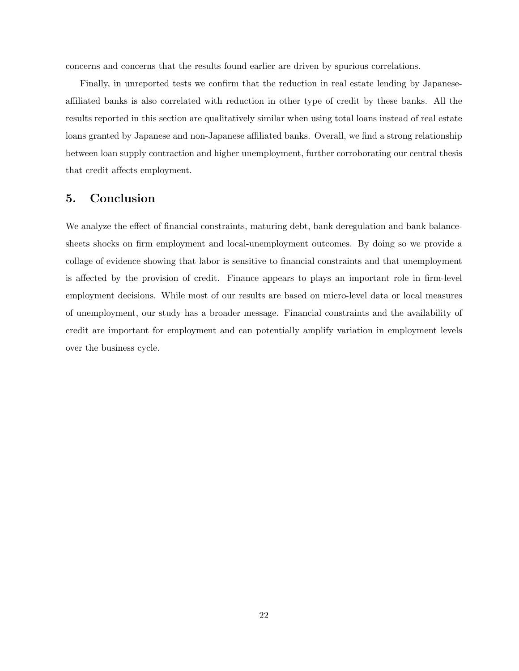concerns and concerns that the results found earlier are driven by spurious correlations.

Finally, in unreported tests we confirm that the reduction in real estate lending by Japaneseaffiliated banks is also correlated with reduction in other type of credit by these banks. All the results reported in this section are qualitatively similar when using total loans instead of real estate loans granted by Japanese and non-Japanese affiliated banks. Overall, we find a strong relationship between loan supply contraction and higher unemployment, further corroborating our central thesis that credit affects employment.

# 5. Conclusion

We analyze the effect of financial constraints, maturing debt, bank deregulation and bank balancesheets shocks on firm employment and local-unemployment outcomes. By doing so we provide a collage of evidence showing that labor is sensitive to financial constraints and that unemployment is affected by the provision of credit. Finance appears to plays an important role in firm-level employment decisions. While most of our results are based on micro-level data or local measures of unemployment, our study has a broader message. Financial constraints and the availability of credit are important for employment and can potentially amplify variation in employment levels over the business cycle.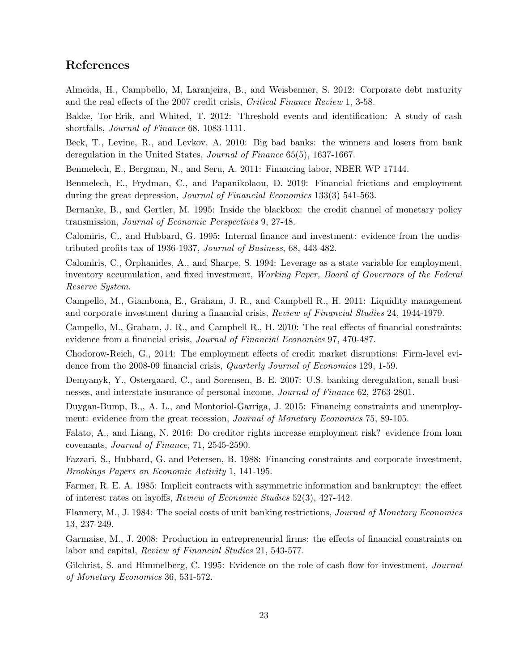# References

Almeida, H., Campbello, M, Laranjeira, B., and Weisbenner, S. 2012: Corporate debt maturity and the real effects of the 2007 credit crisis, Critical Finance Review 1, 3-58.

Bakke, Tor-Erik, and Whited, T. 2012: Threshold events and identification: A study of cash shortfalls, Journal of Finance 68, 1083-1111.

Beck, T., Levine, R., and Levkov, A. 2010: Big bad banks: the winners and losers from bank deregulation in the United States, Journal of Finance 65(5), 1637-1667.

Benmelech, E., Bergman, N., and Seru, A. 2011: Financing labor, NBER WP 17144.

Benmelech, E., Frydman, C., and Papanikolaou, D. 2019: Financial frictions and employment during the great depression, Journal of Financial Economics 133(3) 541-563.

Bernanke, B., and Gertler, M. 1995: Inside the blackbox: the credit channel of monetary policy transmission, Journal of Economic Perspectives 9, 27-48.

Calomiris, C., and Hubbard, G. 1995: Internal finance and investment: evidence from the undistributed profits tax of 1936-1937, Journal of Business, 68, 443-482.

Calomiris, C., Orphanides, A., and Sharpe, S. 1994: Leverage as a state variable for employment, inventory accumulation, and fixed investment, Working Paper, Board of Governors of the Federal Reserve System.

Campello, M., Giambona, E., Graham, J. R., and Campbell R., H. 2011: Liquidity management and corporate investment during a financial crisis, Review of Financial Studies 24, 1944-1979.

Campello, M., Graham, J. R., and Campbell R., H. 2010: The real effects of financial constraints: evidence from a financial crisis, Journal of Financial Economics 97, 470-487.

Chodorow-Reich, G., 2014: The employment effects of credit market disruptions: Firm-level evidence from the 2008-09 financial crisis, Quarterly Journal of Economics 129, 1-59.

Demyanyk, Y., Ostergaard, C., and Sorensen, B. E. 2007: U.S. banking deregulation, small businesses, and interstate insurance of personal income, Journal of Finance 62, 2763-2801.

Duygan-Bump, B.,, A. L., and Montoriol-Garriga, J. 2015: Financing constraints and unemployment: evidence from the great recession, Journal of Monetary Economics 75, 89-105.

Falato, A., and Liang, N. 2016: Do creditor rights increase employment risk? evidence from loan covenants, Journal of Finance, 71, 2545-2590.

Fazzari, S., Hubbard, G. and Petersen, B. 1988: Financing constraints and corporate investment, Brookings Papers on Economic Activity 1, 141-195.

Farmer, R. E. A. 1985: Implicit contracts with asymmetric information and bankruptcy: the effect of interest rates on layoffs, Review of Economic Studies 52(3), 427-442.

Flannery, M., J. 1984: The social costs of unit banking restrictions, Journal of Monetary Economics 13, 237-249.

Garmaise, M., J. 2008: Production in entrepreneurial firms: the effects of financial constraints on labor and capital, Review of Financial Studies 21, 543-577.

Gilchrist, S. and Himmelberg, C. 1995: Evidence on the role of cash flow for investment, *Journal* of Monetary Economics 36, 531-572.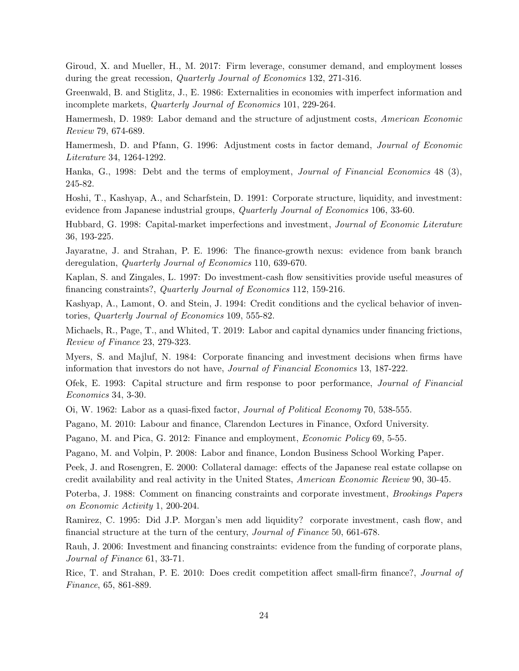Giroud, X. and Mueller, H., M. 2017: Firm leverage, consumer demand, and employment losses during the great recession, Quarterly Journal of Economics 132, 271-316.

Greenwald, B. and Stiglitz, J., E. 1986: Externalities in economies with imperfect information and incomplete markets, Quarterly Journal of Economics 101, 229-264.

Hamermesh, D. 1989: Labor demand and the structure of adjustment costs, American Economic Review 79, 674-689.

Hamermesh, D. and Pfann, G. 1996: Adjustment costs in factor demand, Journal of Economic Literature 34, 1264-1292.

Hanka, G., 1998: Debt and the terms of employment, Journal of Financial Economics 48 (3), 245-82.

Hoshi, T., Kashyap, A., and Scharfstein, D. 1991: Corporate structure, liquidity, and investment: evidence from Japanese industrial groups, *Quarterly Journal of Economics* 106, 33-60.

Hubbard, G. 1998: Capital-market imperfections and investment, Journal of Economic Literature 36, 193-225.

Jayaratne, J. and Strahan, P. E. 1996: The finance-growth nexus: evidence from bank branch deregulation, *Quarterly Journal of Economics* 110, 639-670.

Kaplan, S. and Zingales, L. 1997: Do investment-cash flow sensitivities provide useful measures of financing constraints?, Quarterly Journal of Economics 112, 159-216.

Kashyap, A., Lamont, O. and Stein, J. 1994: Credit conditions and the cyclical behavior of inventories, Quarterly Journal of Economics 109, 555-82.

Michaels, R., Page, T., and Whited, T. 2019: Labor and capital dynamics under financing frictions, Review of Finance 23, 279-323.

Myers, S. and Majluf, N. 1984: Corporate financing and investment decisions when firms have information that investors do not have, Journal of Financial Economics 13, 187-222.

Ofek, E. 1993: Capital structure and firm response to poor performance, Journal of Financial Economics 34, 3-30.

Oi, W. 1962: Labor as a quasi-fixed factor, Journal of Political Economy 70, 538-555.

Pagano, M. 2010: Labour and finance, Clarendon Lectures in Finance, Oxford University.

Pagano, M. and Pica, G. 2012: Finance and employment, *Economic Policy* 69, 5-55.

Pagano, M. and Volpin, P. 2008: Labor and finance, London Business School Working Paper.

Peek, J. and Rosengren, E. 2000: Collateral damage: effects of the Japanese real estate collapse on credit availability and real activity in the United States, American Economic Review 90, 30-45.

Poterba, J. 1988: Comment on financing constraints and corporate investment, *Brookings Papers* on Economic Activity 1, 200-204.

Ramirez, C. 1995: Did J.P. Morgan's men add liquidity? corporate investment, cash flow, and financial structure at the turn of the century, Journal of Finance 50, 661-678.

Rauh, J. 2006: Investment and financing constraints: evidence from the funding of corporate plans, Journal of Finance 61, 33-71.

Rice, T. and Strahan, P. E. 2010: Does credit competition affect small-firm finance?, Journal of Finance, 65, 861-889.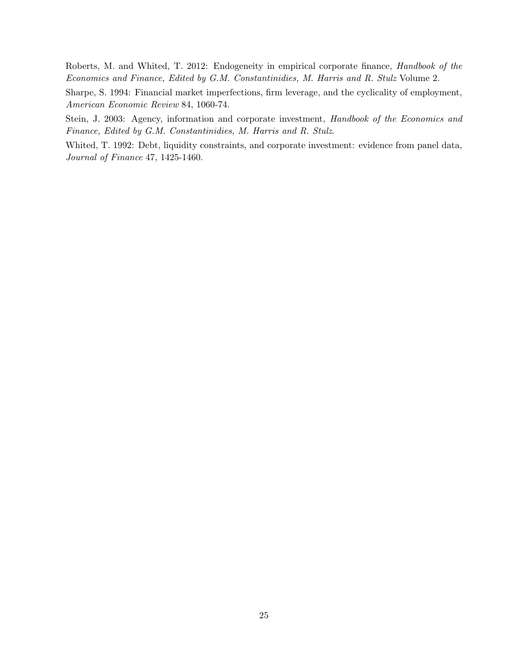Roberts, M. and Whited, T. 2012: Endogeneity in empirical corporate finance, Handbook of the Economics and Finance, Edited by G.M. Constantinidies, M. Harris and R. Stulz Volume 2.

Sharpe, S. 1994: Financial market imperfections, firm leverage, and the cyclicality of employment, American Economic Review 84, 1060-74.

Stein, J. 2003: Agency, information and corporate investment, Handbook of the Economics and Finance, Edited by G.M. Constantinidies, M. Harris and R. Stulz.

Whited, T. 1992: Debt, liquidity constraints, and corporate investment: evidence from panel data, Journal of Finance 47, 1425-1460.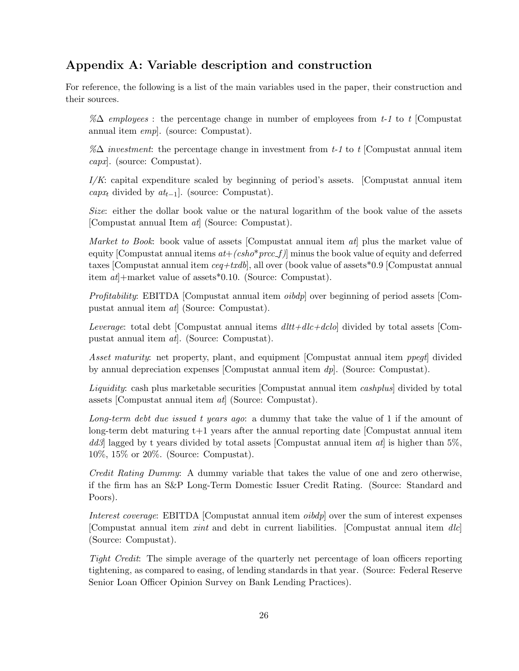# Appendix A: Variable description and construction

For reference, the following is a list of the main variables used in the paper, their construction and their sources.

%∆ employees : the percentage change in number of employees from t-1 to t [Compustat annual item emp]. (source: Compustat).

% $\Delta$  investment: the percentage change in investment from t-1 to t [Compustat annual item capx]. (source: Compustat).

 $I/K$ : capital expenditure scaled by beginning of period's assets. [Compustat annual item capx<sub>t</sub> divided by  $at_{t-1}$ ]. (source: Compustat).

Size: either the dollar book value or the natural logarithm of the book value of the assets [Compustat annual Item at] (Source: Compustat).

*Market to Book:* book value of assets [Compustat annual item  $at$ ] plus the market value of equity [Compustat annual items  $at+(csho*prcc_f)]$  minus the book value of equity and deferred taxes [Compustat annual item  $ceq+txdb$ ], all over (book value of assets \*0.9 [Compustat annual item  $at$  + market value of assets \*0.10. (Source: Compustat).

Profitability: EBITDA [Compustat annual item oibdp] over beginning of period assets [Compustat annual item at] (Source: Compustat).

Leverage: total debt [Compustat annual items  $dltt+dtcl$  divided by total assets [Compustat annual item at]. (Source: Compustat).

Asset maturity: net property, plant, and equipment [Compustat annual item *ppegt*] divided by annual depreciation expenses [Compustat annual item  $dp$ ]. (Source: Compustat).

Liquidity: cash plus marketable securities [Compustat annual item *cashplus*] divided by total assets [Compustat annual item at] (Source: Compustat).

Long-term debt due issued t years ago: a dummy that take the value of 1 if the amount of long-term debt maturing t+1 years after the annual reporting date [Compustat annual item  $dd3$  lagged by t years divided by total assets [Compustat annual item  $at$ ] is higher than 5%, 10%, 15% or 20%. (Source: Compustat).

Credit Rating Dummy: A dummy variable that takes the value of one and zero otherwise, if the firm has an S&P Long-Term Domestic Issuer Credit Rating. (Source: Standard and Poors).

Interest coverage: EBITDA [Compustat annual item *oibdp*] over the sum of interest expenses [Compustat annual item xint and debt in current liabilities. [Compustat annual item dlc] (Source: Compustat).

Tight Credit: The simple average of the quarterly net percentage of loan officers reporting tightening, as compared to easing, of lending standards in that year. (Source: Federal Reserve Senior Loan Officer Opinion Survey on Bank Lending Practices).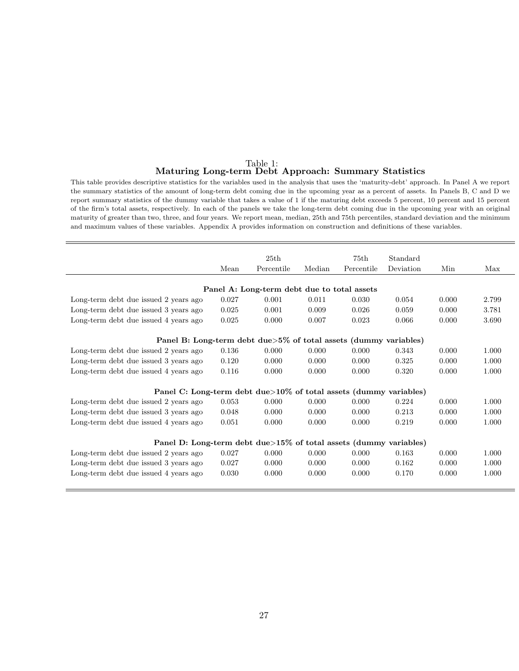#### Table 1: Maturing Long-term Debt Approach: Summary Statistics

This table provides descriptive statistics for the variables used in the analysis that uses the 'maturity-debt' approach. In Panel A we report the summary statistics of the amount of long-term debt coming due in the upcoming year as a percent of assets. In Panels B, C and D we report summary statistics of the dummy variable that takes a value of 1 if the maturing debt exceeds 5 percent, 10 percent and 15 percent of the firm's total assets, respectively. In each of the panels we take the long-term debt coming due in the upcoming year with an original maturity of greater than two, three, and four years. We report mean, median, 25th and 75th percentiles, standard deviation and the minimum and maximum values of these variables. Appendix A provides information on construction and definitions of these variables.

|                                                                   |       | 25th                                        |        | 75th       | Standard  |       |       |
|-------------------------------------------------------------------|-------|---------------------------------------------|--------|------------|-----------|-------|-------|
|                                                                   | Mean  | Percentile                                  | Median | Percentile | Deviation | Min   | Max   |
|                                                                   |       |                                             |        |            |           |       |       |
|                                                                   |       | Panel A: Long-term debt due to total assets |        |            |           |       |       |
| Long-term debt due issued 2 years ago                             | 0.027 | 0.001                                       | 0.011  | 0.030      | 0.054     | 0.000 | 2.799 |
| Long-term debt due issued 3 years ago                             | 0.025 | 0.001                                       | 0.009  | 0.026      | 0.059     | 0.000 | 3.781 |
| Long-term debt due issued 4 years ago                             | 0.025 | 0.000                                       | 0.007  | 0.023      | 0.066     | 0.000 | 3.690 |
|                                                                   |       |                                             |        |            |           |       |       |
| Panel B: Long-term debt due>5% of total assets (dummy variables)  |       |                                             |        |            |           |       |       |
| Long-term debt due issued 2 years ago                             | 0.136 | 0.000                                       | 0.000  | 0.000      | 0.343     | 0.000 | 1.000 |
| Long-term debt due issued 3 years ago                             | 0.120 | 0.000                                       | 0.000  | 0.000      | 0.325     | 0.000 | 1.000 |
| Long-term debt due issued 4 years ago                             | 0.116 | 0.000                                       | 0.000  | 0.000      | 0.320     | 0.000 | 1.000 |
|                                                                   |       |                                             |        |            |           |       |       |
| Panel C: Long-term debt due>10% of total assets (dummy variables) |       |                                             |        |            |           |       |       |
| Long-term debt due issued 2 years ago                             | 0.053 | 0.000                                       | 0.000  | 0.000      | 0.224     | 0.000 | 1.000 |
| Long-term debt due issued 3 years ago                             | 0.048 | 0.000                                       | 0.000  | 0.000      | 0.213     | 0.000 | 1.000 |
| Long-term debt due issued 4 years ago                             | 0.051 | 0.000                                       | 0.000  | 0.000      | 0.219     | 0.000 | 1.000 |
|                                                                   |       |                                             |        |            |           |       |       |
| Panel D: Long-term debt due>15% of total assets (dummy variables) |       |                                             |        |            |           |       |       |
| Long-term debt due issued 2 years ago                             | 0.027 | 0.000                                       | 0.000  | 0.000      | 0.163     | 0.000 | 1.000 |
| Long-term debt due issued 3 years ago                             | 0.027 | 0.000                                       | 0.000  | 0.000      | 0.162     | 0.000 | 1.000 |
| Long-term debt due issued 4 years ago                             | 0.030 | 0.000                                       | 0.000  | 0.000      | 0.170     | 0.000 | 1.000 |
|                                                                   |       |                                             |        |            |           |       |       |
|                                                                   |       |                                             |        |            |           |       |       |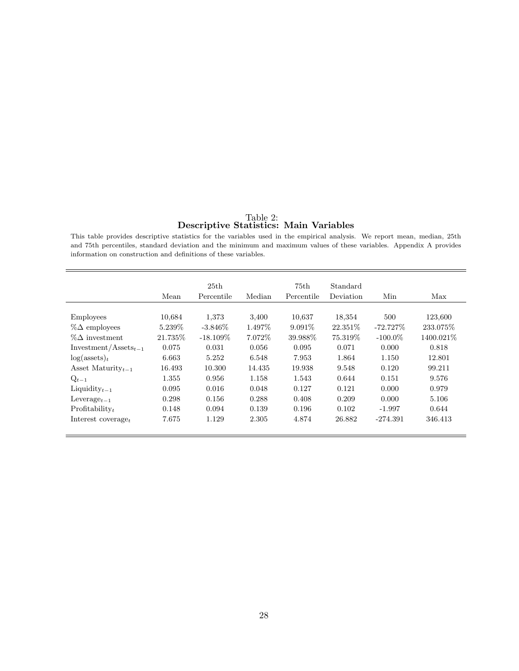#### Table 2: Descriptive Statistics: Main Variables

This table provides descriptive statistics for the variables used in the empirical analysis. We report mean, median, 25th and 75th percentiles, standard deviation and the minimum and maximum values of these variables. Appendix A provides information on construction and definitions of these variables.

|                                      | Mean     | 25th<br>Percentile | Median  | 75th<br>Percentile | Standard<br>Deviation | Min         | Max        |
|--------------------------------------|----------|--------------------|---------|--------------------|-----------------------|-------------|------------|
|                                      |          |                    |         |                    |                       |             |            |
| <b>Employees</b>                     | 10.684   | 1,373              | 3,400   | 10,637             | 18,354                | 500         | 123,600    |
| $\%\Delta$ employees                 | 5.239\%  | $-3.846\%$         | 1.497\% | $9.091\%$          | 22.351\%              | $-72.727\%$ | 233.075\%  |
| $\%\Delta$ investment                | 21.735\% | $-18.109\%$        | 7.072\% | 39.988\%           | 75.319\%              | $-100.0\%$  | 1400.021\% |
| $Investment/Assets_{t-1}$            | 0.075    | 0.031              | 0.056   | 0.095              | 0.071                 | 0.000       | 0.818      |
| $log($ assets $)_t$                  | 6.663    | 5.252              | 6.548   | 7.953              | 1.864                 | 1.150       | 12.801     |
| Asset Maturity $_{t-1}$              | 16.493   | 10.300             | 14.435  | 19.938             | 9.548                 | 0.120       | 99.211     |
| $Q_{t-1}$                            | 1.355    | 0.956              | 1.158   | 1.543              | 0.644                 | 0.151       | 9.576      |
| Liquidity $_{t-1}$                   | 0.095    | 0.016              | 0.048   | 0.127              | 0.121                 | 0.000       | 0.979      |
| Leverage <sub><math>t-1</math></sub> | 0.298    | 0.156              | 0.288   | 0.408              | 0.209                 | 0.000       | 5.106      |
| $Profitability_t$                    | 0.148    | 0.094              | 0.139   | 0.196              | 0.102                 | $-1.997$    | 0.644      |
| Interest coverage $_t$               | 7.675    | 1.129              | 2.305   | 4.874              | 26.882                | $-274.391$  | 346.413    |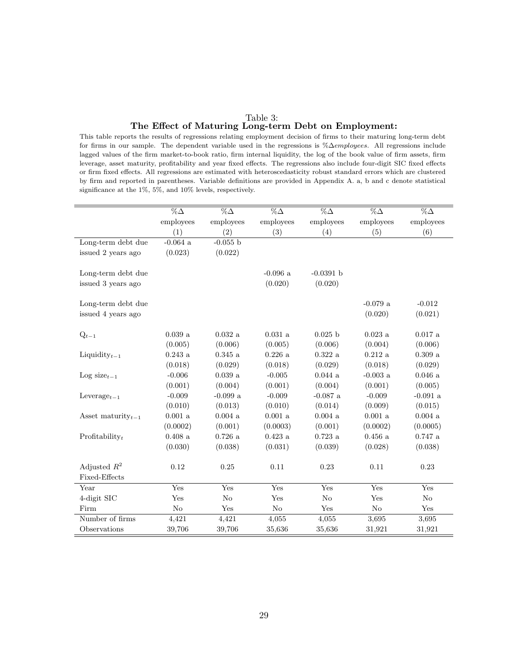# Table 3: The Effect of Maturing Long-term Debt on Employment:

This table reports the results of regressions relating employment decision of firms to their maturing long-term debt for firms in our sample. The dependent variable used in the regressions is %∆employees. All regressions include lagged values of the firm market-to-book ratio, firm internal liquidity, the log of the book value of firm assets, firm leverage, asset maturity, profitability and year fixed effects. The regressions also include four-digit SIC fixed effects or firm fixed effects. All regressions are estimated with heteroscedasticity robust standard errors which are clustered by firm and reported in parentheses. Variable definitions are provided in Appendix A. a, b and c denote statistical significance at the 1%, 5%, and 10% levels, respectively.

|                                      | $\%\Delta$          | $\% \Delta$         | $\% \Delta$         | $\% \Delta$         | $\% \Delta$         | $\%\Delta$          |
|--------------------------------------|---------------------|---------------------|---------------------|---------------------|---------------------|---------------------|
|                                      | employees           | employees           | employees           | employees           | employees           | employees           |
|                                      | (1)                 | (2)                 | (3)                 | (4)                 | (5)                 | (6)                 |
| Long-term debt due                   | $-0.064$ a          | $-0.055$ b          |                     |                     |                     |                     |
| issued 2 years ago                   | (0.023)             | (0.022)             |                     |                     |                     |                     |
|                                      |                     |                     |                     |                     |                     |                     |
| Long-term debt due                   |                     |                     | $-0.096$ a          | $-0.0391$ b         |                     |                     |
| issued 3 years ago                   |                     |                     | (0.020)             | (0.020)             |                     |                     |
|                                      |                     |                     |                     |                     |                     |                     |
| Long-term debt due                   |                     |                     |                     |                     | $-0.079$ a          | $-0.012$            |
| issued 4 years ago                   |                     |                     |                     |                     | (0.020)             | (0.021)             |
|                                      |                     |                     |                     |                     |                     |                     |
| $Q_{t-1}$                            | 0.039a              | $0.032\ \mathrm{a}$ | $0.031\ \mathrm{a}$ | $0.025$ b           | $0.023$ a           | $0.017$ a           |
|                                      | (0.005)             | (0.006)             | (0.005)             | (0.006)             | (0.004)             | (0.006)             |
| Liquidity $t-1$                      | $0.243\ \mathrm{a}$ | $0.345\ \mathrm{a}$ | $0.226\ \mathrm{a}$ | $0.322\ \mathrm{a}$ | $0.212\ \mathrm{a}$ | $0.309~\mathrm{a}$  |
|                                      | (0.018)             | (0.029)             | (0.018)             | (0.029)             | (0.018)             | (0.029)             |
| Log size $_{t-1}$                    | $-0.006$            | $0.039\ \mathrm{a}$ | $-0.005$            | $0.044~\rm{a}$      | $-0.003$ a          | $0.046\ \mathrm{a}$ |
|                                      | (0.001)             | (0.004)             | (0.001)             | (0.004)             | (0.001)             | (0.005)             |
| Leverage <sub><math>t-1</math></sub> | $-0.009$            | $-0.099$ a          | $-0.009$            | $-0.087$ a          | $-0.009$            | $-0.091$ a          |
|                                      | (0.010)             | (0.013)             | (0.010)             | (0.014)             | (0.009)             | (0.015)             |
| Asset maturity $_{t-1}$              | $0.001$ a           | 0.004a              | $0.001$ a           | 0.004a              | $0.001$ a           | 0.004a              |
|                                      | (0.0002)            | (0.001)             | (0.0003)            | (0.001)             | (0.0002)            | (0.0005)            |
| Profitability $_t$                   | $0.408\ \mathrm{a}$ | $0.726\ \mathrm{a}$ | $0.423~\rm{a}$      | $0.723~\mathrm{a}$  | $0.456\ \mathrm{a}$ | $0.747~\rm{a}$      |
|                                      | (0.030)             | (0.038)             | (0.031)             | (0.039)             | (0.028)             | (0.038)             |
|                                      |                     |                     |                     |                     |                     |                     |
| Adjusted $R^2$                       | 0.12                | $0.25\,$            | $0.11\,$            | 0.23                | 0.11                | $\rm 0.23$          |
| Fixed-Effects                        |                     |                     |                     |                     |                     |                     |
| Year                                 | Yes                 | Yes                 | Yes                 | Yes                 | Yes                 | Yes                 |
| 4-digit SIC                          | Yes                 | $\rm No$            | Yes                 | No                  | Yes                 | No                  |
| Firm                                 | $\rm No$            | Yes                 | No                  | Yes                 | No                  | Yes                 |
| Number of firms                      | 4,421               | 4,421               | 4,055               | 4,055               | 3,695               | 3,695               |
| Observations                         | 39,706              | 39,706              | 35,636              | 35,636              | 31,921              | 31,921              |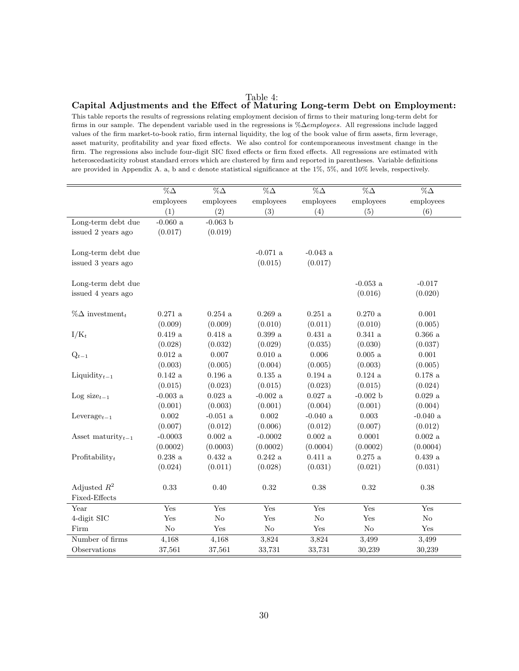#### Table 4: Capital Adjustments and the Effect of Maturing Long-term Debt on Employment:

This table reports the results of regressions relating employment decision of firms to their maturing long-term debt for firms in our sample. The dependent variable used in the regressions is %∆employees. All regressions include lagged values of the firm market-to-book ratio, firm internal liquidity, the log of the book value of firm assets, firm leverage, asset maturity, profitability and year fixed effects. We also control for contemporaneous investment change in the firm. The regressions also include four-digit SIC fixed effects or firm fixed effects. All regressions are estimated with heteroscedasticity robust standard errors which are clustered by firm and reported in parentheses. Variable definitions are provided in Appendix A. a, b and c denote statistical significance at the 1%, 5%, and 10% levels, respectively.

|                                    | $\overline{\%}\Delta$ | $\overline{\% \Delta}$ | $\overline{\%}\Delta$ | $\overline{\%}\Delta$ | $\overline{\%}\Delta$ | $\overline{\%}\Delta$ |
|------------------------------------|-----------------------|------------------------|-----------------------|-----------------------|-----------------------|-----------------------|
|                                    | employees             | employees              | employees             | employees             | employees             | employees             |
|                                    | (1)                   | (2)                    | (3)                   | (4)                   | (5)                   | (6)                   |
| Long-term debt due                 | $-0.060$ a            | $-0.063$ b             |                       |                       |                       |                       |
| issued 2 years ago                 | (0.017)               | (0.019)                |                       |                       |                       |                       |
| Long-term debt due                 |                       |                        | $-0.071$ a            | $-0.043$ a            |                       |                       |
| issued 3 years ago                 |                       |                        | (0.015)               | (0.017)               |                       |                       |
|                                    |                       |                        |                       |                       |                       |                       |
| Long-term debt due                 |                       |                        |                       |                       | $-0.053$ a            | $-0.017$              |
| issued 4 years ago                 |                       |                        |                       |                       | (0.016)               | (0.020)               |
|                                    |                       |                        |                       |                       |                       |                       |
| $\%\Delta$ investment <sub>t</sub> | $0.271$ a             | $0.254\ \mathrm{a}$    | $0.269\ \mathrm{a}$   | $0.251$ a             | $0.270\ \mathrm{a}$   | 0.001                 |
|                                    | (0.009)               | (0.009)                | (0.010)               | (0.011)               | (0.010)               | (0.005)               |
| $I/K_t$                            | $0.419\ \rm{a}$       | $0.418\ \mathrm{a}$    | $0.399\ \rm{a}$       | $0.431\ \mathrm{a}$   | $0.341~\rm{a}$        | $0.366\ \rm{a}$       |
|                                    | (0.028)               | (0.032)                | (0.029)               | (0.035)               | (0.030)               | (0.037)               |
| $Q_{t-1}$                          | $0.012\ \mathrm{a}$   | 0.007                  | $0.010\ \mathrm{a}$   | 0.006                 | $0.005\ \mathrm{a}$   | 0.001                 |
|                                    | (0.003)               | (0.005)                | (0.004)               | (0.005)               | (0.003)               | (0.005)               |
| Liquidity $_{t-1}$                 | $0.142\ \rm{a}$       | $0.196\ \rm{a}$        | $0.135~\mathrm{a}$    | $0.194\ \rm{a}$       | $0.124\ \rm{a}$       | $0.178\ \mathrm{a}$   |
|                                    | (0.015)               | (0.023)                | (0.015)               | (0.023)               | (0.015)               | (0.024)               |
| Log size $_{t-1}$                  | -0.003 $\,\mathrm{a}$ | $0.023~\mathrm{a}$     | -0.002 $\rm{a}$       | $0.027~\mathrm{a}$    | $-0.002$ b            | $0.029~\mathrm{a}$    |
|                                    | (0.001)               | (0.003)                | (0.001)               | (0.004)               | (0.001)               | (0.004)               |
| Leverage $_{t-1}$                  | 0.002                 | $-0.051\ \mathrm{a}$   | 0.002                 | $-0.040$ a            | 0.003                 | $-0.040$ a            |
|                                    | (0.007)               | (0.012)                | (0.006)               | (0.012)               | (0.007)               | (0.012)               |
| Asset maturity $_{t-1}$            | $-0.0003$             | $0.002~\mathrm{a}$     | $-0.0002$             | $0.002~\mathrm{a}$    | 0.0001                | $0.002~\mathrm{a}$    |
|                                    | (0.0002)              | (0.0003)               | (0.0002)              | (0.0004)              | (0.0002)              | (0.0004)              |
| Profitability $_t$                 | $0.238~\mathrm{a}$    | $0.432\ \mathrm{a}$    | $0.242~\rm{a}$        | $0.411~\rm{a}$        | $0.275~\mathrm{a}$    | $0.439\ \rm{a}$       |
|                                    | (0.024)               | (0.011)                | (0.028)               | (0.031)               | (0.021)               | (0.031)               |
|                                    |                       |                        |                       |                       |                       |                       |
| Adjusted $R^2$                     | 0.33                  | 0.40                   | 0.32                  | 0.38                  | 0.32                  | 0.38                  |
| Fixed-Effects                      |                       |                        |                       |                       |                       |                       |
| Year                               | Yes                   | Yes                    | $\operatorname{Yes}$  | Yes                   | Yes                   | $\operatorname{Yes}$  |
| 4-digit SIC                        | Yes                   | $\rm No$               | Yes                   | $\rm No$              | Yes                   | $\rm No$              |
| Firm                               | $\rm No$              | Yes                    | $\rm No$              | Yes                   | No                    | $\operatorname{Yes}$  |
| Number of firms                    | 4,168                 | 4,168                  | 3,824                 | 3,824                 | 3,499                 | 3,499                 |
| Observations                       | 37,561                | 37,561                 | 33,731                | 33,731                | 30,239                | 30,239                |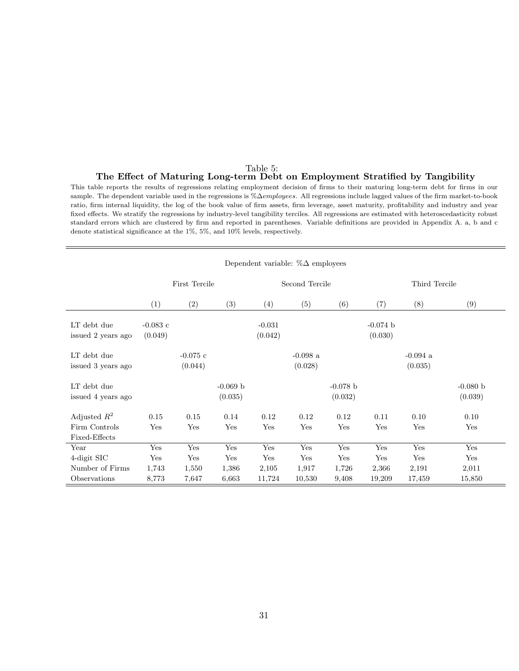#### Table 5: The Effect of Maturing Long-term Debt on Employment Stratified by Tangibility

This table reports the results of regressions relating employment decision of firms to their maturing long-term debt for firms in our sample. The dependent variable used in the regressions is %∆employees. All regressions include lagged values of the firm market-to-book ratio, firm internal liquidity, the log of the book value of firm assets, firm leverage, asset maturity, profitability and industry and year fixed effects. We stratify the regressions by industry-level tangibility terciles. All regressions are estimated with heteroscedasticity robust standard errors which are clustered by firm and reported in parentheses. Variable definitions are provided in Appendix A. a, b and c denote statistical significance at the 1%, 5%, and 10% levels, respectively.

|                                                  | Dependent variable: $\%\Delta$ employees |                       |                       |                     |                       |                       |                       |                       |                       |
|--------------------------------------------------|------------------------------------------|-----------------------|-----------------------|---------------------|-----------------------|-----------------------|-----------------------|-----------------------|-----------------------|
|                                                  | <b>First Tercile</b>                     |                       |                       | Second Tercile      |                       |                       | Third Tercile         |                       |                       |
|                                                  | (1)                                      | (2)                   | (3)                   | (4)                 | (5)                   | (6)                   | (7)                   | (8)                   | (9)                   |
| LT debt due<br>issued 2 years ago                | $-0.083$ c<br>(0.049)                    |                       |                       | $-0.031$<br>(0.042) |                       |                       | $-0.074$ b<br>(0.030) |                       |                       |
| LT debt due<br>issued 3 years ago                |                                          | $-0.075$ c<br>(0.044) |                       |                     | $-0.098$ a<br>(0.028) |                       |                       | $-0.094$ a<br>(0.035) |                       |
| LT debt due<br>issued 4 years ago                |                                          |                       | $-0.069 b$<br>(0.035) |                     |                       | $-0.078$ b<br>(0.032) |                       |                       | $-0.080 b$<br>(0.039) |
| Adjusted $R^2$<br>Firm Controls<br>Fixed-Effects | 0.15<br>Yes                              | 0.15<br>Yes           | 0.14<br>Yes           | 0.12<br>Yes         | 0.12<br>Yes           | 0.12<br>Yes           | 0.11<br>Yes           | 0.10<br>Yes           | 0.10<br>Yes           |
| Year                                             | Yes                                      | Yes                   | Yes                   | Yes                 | Yes                   | Yes                   | Yes                   | Yes                   | Yes                   |
| 4-digit SIC<br>Number of Firms                   | Yes<br>1,743                             | Yes<br>1,550          | Yes<br>1,386          | Yes<br>2,105        | Yes<br>1,917          | Yes<br>1,726          | Yes<br>2,366          | Yes<br>2,191          | Yes<br>2,011          |
| Observations                                     | 8,773                                    | 7,647                 | 6,663                 | 11,724              | 10,530                | 9,408                 | 19,209                | 17,459                | 15,850                |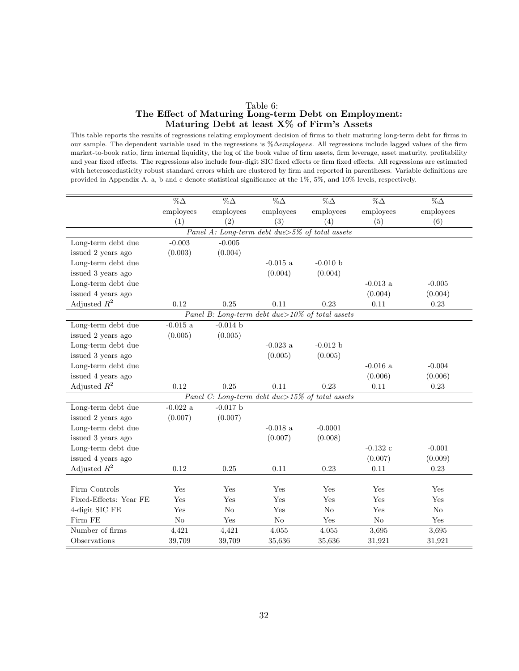#### Table 6: The Effect of Maturing Long-term Debt on Employment: Maturing Debt at least X% of Firm's Assets

This table reports the results of regressions relating employment decision of firms to their maturing long-term debt for firms in our sample. The dependent variable used in the regressions is %∆employees. All regressions include lagged values of the firm market-to-book ratio, firm internal liquidity, the log of the book value of firm assets, firm leverage, asset maturity, profitability and year fixed effects. The regressions also include four-digit SIC fixed effects or firm fixed effects. All regressions are estimated with heteroscedasticity robust standard errors which are clustered by firm and reported in parentheses. Variable definitions are provided in Appendix A. a, b and c denote statistical significance at the 1%, 5%, and 10% levels, respectively.

|                        | $\overline{\%}\Delta$ | $\overline{\%}\Delta$                            | $\overline{\%}\Delta$ | $\overline{\% \Delta}$                               | $\overline{\%}\Delta$ | $\overline{\%}\Delta$ |
|------------------------|-----------------------|--------------------------------------------------|-----------------------|------------------------------------------------------|-----------------------|-----------------------|
|                        | employees             | employees                                        | employees             | employees                                            | employees             | employees             |
|                        | (1)                   | (2)                                              | (3)                   | (4)                                                  | (5)                   | (6)                   |
|                        |                       | Panel A: Long-term debt due > 5% of total assets |                       |                                                      |                       |                       |
| Long-term debt due     | $-0.003$              | $-0.005$                                         |                       |                                                      |                       |                       |
| issued 2 years ago     | (0.003)               | (0.004)                                          |                       |                                                      |                       |                       |
| Long-term debt due     |                       |                                                  | $-0.015$ a            | $-0.010 b$                                           |                       |                       |
| issued 3 years ago     |                       |                                                  | (0.004)               | (0.004)                                              |                       |                       |
| Long-term debt due     |                       |                                                  |                       |                                                      | $-0.013$ a            | $-0.005$              |
| issued 4 years ago     |                       |                                                  |                       |                                                      | (0.004)               | (0.004)               |
| Adjusted $R^2$         | 0.12                  | 0.25                                             | 0.11                  | 0.23                                                 | 0.11                  | 0.23                  |
|                        |                       |                                                  |                       | Panel B: Long-term debt due > $10\%$ of total assets |                       |                       |
| Long-term debt due     | $-0.015 \text{ a}$    | $-0.014$ b                                       |                       |                                                      |                       |                       |
| issued 2 years ago     | (0.005)               | (0.005)                                          |                       |                                                      |                       |                       |
| Long-term debt due     |                       |                                                  | $-0.023$ a            | $-0.012 b$                                           |                       |                       |
| issued 3 years ago     |                       |                                                  | (0.005)               | (0.005)                                              |                       |                       |
| Long-term debt due     |                       |                                                  |                       |                                                      | $-0.016$ a            | $-0.004$              |
| issued 4 years ago     |                       |                                                  |                       |                                                      | (0.006)               | (0.006)               |
| Adjusted $R^2$         | 0.12                  | 0.25                                             | 0.11                  | 0.23                                                 | 0.11                  | 0.23                  |
|                        |                       |                                                  |                       | Panel C: Long-term debt due > $15\%$ of total assets |                       |                       |
| Long-term debt due     | $-0.022$ a            | $-0.017$ b                                       |                       |                                                      |                       |                       |
| issued 2 years ago     | (0.007)               | (0.007)                                          |                       |                                                      |                       |                       |
| Long-term debt due     |                       |                                                  | $-0.018$ a            | $-0.0001$                                            |                       |                       |
| issued 3 years ago     |                       |                                                  | (0.007)               | (0.008)                                              |                       |                       |
| Long-term debt due     |                       |                                                  |                       |                                                      | $-0.132$ c            | $-0.001$              |
| issued 4 years ago     |                       |                                                  |                       |                                                      | (0.007)               | (0.009)               |
| Adjusted $R^2$         | 0.12                  | 0.25                                             | 0.11                  | 0.23                                                 | 0.11                  | 0.23                  |
|                        |                       |                                                  |                       |                                                      |                       |                       |
| Firm Controls          | Yes                   | Yes                                              | Yes                   | Yes                                                  | Yes                   | Yes                   |
| Fixed-Effects: Year FE | Yes                   | Yes                                              | Yes                   | Yes                                                  | Yes                   | Yes                   |
| 4-digit SIC FE         | Yes                   | No                                               | Yes                   | $\rm No$                                             | Yes                   | $\rm No$              |
| Firm FE                | No                    | Yes                                              | N <sub>o</sub>        | Yes                                                  | No                    | Yes                   |
| Number of firms        | 4,421                 | 4,421                                            | 4.055                 | 4.055                                                | 3,695                 | 3,695                 |
| Observations           | 39,709                | 39,709                                           | 35,636                | 35,636                                               | 31,921                | 31,921                |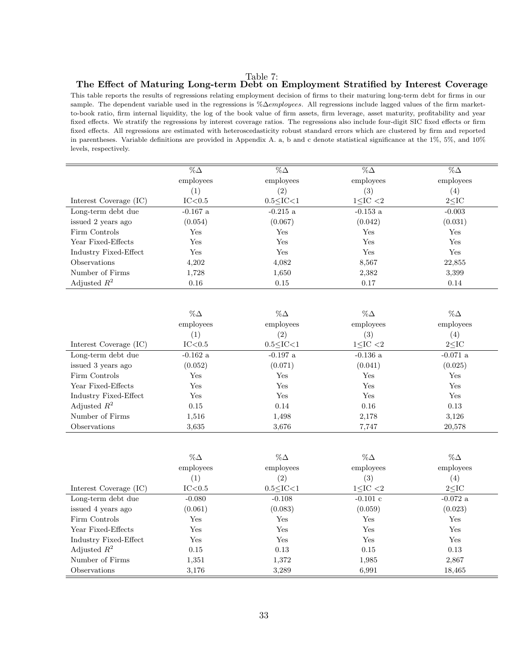Table 7:

## The Effect of Maturing Long-term Debt on Employment Stratified by Interest Coverage

This table reports the results of regressions relating employment decision of firms to their maturing long-term debt for firms in our sample. The dependent variable used in the regressions is %∆employees. All regressions include lagged values of the firm marketto-book ratio, firm internal liquidity, the log of the book value of firm assets, firm leverage, asset maturity, profitability and year fixed effects. We stratify the regressions by interest coverage ratios. The regressions also include four-digit SIC fixed effects or firm fixed effects. All regressions are estimated with heteroscedasticity robust standard errors which are clustered by firm and reported in parentheses. Variable definitions are provided in Appendix A. a, b and c denote statistical significance at the 1%, 5%, and 10% levels, respectively.

|                        | $\%\Delta$        | $\% \Delta$       | $\%\Delta$        | $\%\Delta$        |
|------------------------|-------------------|-------------------|-------------------|-------------------|
|                        | employees         | employees         | employees         | employees         |
|                        | $\left( 1\right)$ | $\left( 2\right)$ | $\left( 3\right)$ | $\left( 4\right)$ |
| Interest Coverage (IC) | IC<0.5            | $0.5 <$ IC $<$ 1  | $1<$ IC $<$ 2     | $2<$ IC           |
| Long-term debt due     | $-0.167$ a        | $-0.215$ a        | $-0.153$ a        | $-0.003$          |
| issued 2 years ago     | (0.054)           | (0.067)           | (0.042)           | (0.031)           |
| Firm Controls          | Yes               | Yes               | Yes               | Yes               |
| Year Fixed-Effects     | Yes               | Yes               | Yes               | Yes               |
| Industry Fixed-Effect  | $_{\rm Yes}$      | Yes               | Yes               | Yes               |
| <b>Observations</b>    | 4,202             | 4,082             | 8,567             | 22,855            |
| Number of Firms        | 1,728             | 1,650             | 2,382             | 3,399             |
| Adjusted $R^2$         | 0.16              | 0.15              | 0.17              | 0.14              |

|                        | $\%\Delta$        | $\%\Delta$       | $\% \Delta$       | $\% \Delta$ |
|------------------------|-------------------|------------------|-------------------|-------------|
|                        | employees         | employees        | employees         | employees   |
|                        | $\left( 1\right)$ | (2)              | $\left( 3\right)$ | (4)         |
| Interest Coverage (IC) | IC<0.5            | $0.5 <$ IC $<$ 1 | $1<$ IC $<$ 2     | $2<$ IC     |
| Long-term debt due     | $-0.162$ a        | $-0.197$ a       | $-0.136$ a        | $-0.071$ a  |
| issued 3 years ago     | (0.052)           | (0.071)          | (0.041)           | (0.025)     |
| Firm Controls          | Yes               | $_{\rm Yes}$     | Yes               | Yes         |
| Year Fixed-Effects     | Yes               | Yes              | Yes               | Yes         |
| Industry Fixed-Effect  | Yes               | Yes              | Yes               | Yes         |
| Adjusted $R^2$         | 0.15              | 0.14             | 0.16              | 0.13        |
| Number of Firms        | 1,516             | 1,498            | 2,178             | 3,126       |
| Observations           | 3.635             | 3,676            | 7,747             | 20,578      |

|                        | $\%\Delta$        | $\%\Delta$        | $\% \Delta$       | $\%\Delta$ |
|------------------------|-------------------|-------------------|-------------------|------------|
|                        | employees         | employees         | employees         | employees  |
|                        | $\left( 1\right)$ | $\left( 2\right)$ | $\left( 3\right)$ | (4)        |
| Interest Coverage (IC) | IC<0.5            | $0.5 <$ IC $<$ 1  | $1<$ IC $<$ 2     | $2<$ IC    |
| Long-term debt due     | $-0.080$          | $-0.108$          | $-0.101$ c        | $-0.072$ a |
| issued 4 years ago     | (0.061)           | (0.083)           | (0.059)           | (0.023)    |
| Firm Controls          | Yes               | Yes               | Yes               | Yes        |
| Year Fixed-Effects     | Yes               | Yes               | Yes               | Yes        |
| Industry Fixed-Effect  | Yes               | Yes               | Yes               | Yes        |
| Adjusted $R^2$         | 0.15              | 0.13              | 0.15              | 0.13       |
| Number of Firms        | 1,351             | 1,372             | 1,985             | 2,867      |
| Observations           | 3,176             | 3,289             | 6,991             | 18,465     |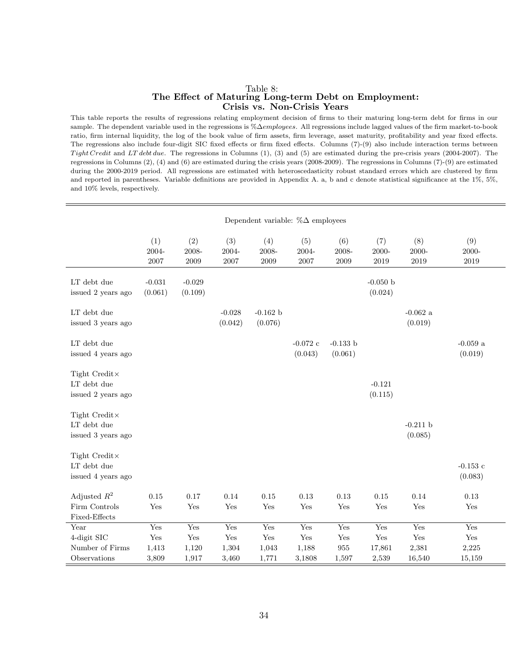#### Table 8: The Effect of Maturing Long-term Debt on Employment: Crisis vs. Non-Crisis Years

This table reports the results of regressions relating employment decision of firms to their maturing long-term debt for firms in our sample. The dependent variable used in the regressions is %∆employees. All regressions include lagged values of the firm market-to-book ratio, firm internal liquidity, the log of the book value of firm assets, firm leverage, asset maturity, profitability and year fixed effects. The regressions also include four-digit SIC fixed effects or firm fixed effects. Columns (7)-(9) also include interaction terms between Tight Credit and LT debt due. The regressions in Columns  $(1)$ ,  $(3)$  and  $(5)$  are estimated during the pre-crisis years (2004-2007). The regressions in Columns (2), (4) and (6) are estimated during the crisis years (2008-2009). The regressions in Columns (7)-(9) are estimated during the 2000-2019 period. All regressions are estimated with heteroscedasticity robust standard errors which are clustered by firm and reported in parentheses. Variable definitions are provided in Appendix A. a, b and c denote statistical significance at the 1%, 5%, and 10% levels, respectively.

|                                                        | Dependent variable: $\%\Delta$ employees      |                              |                                               |                              |                                                |                                                            |                                                |                               |                               |
|--------------------------------------------------------|-----------------------------------------------|------------------------------|-----------------------------------------------|------------------------------|------------------------------------------------|------------------------------------------------------------|------------------------------------------------|-------------------------------|-------------------------------|
|                                                        | (1)<br>2004-<br>2007                          | (2)<br>2008-<br>2009         | (3)<br>2004-<br>2007                          | (4)<br>2008-<br>2009         | (5)<br>2004-<br>2007                           | (6)<br>2008-<br>2009                                       | (7)<br>$2000 -$<br>2019                        | (8)<br>2000-<br>2019          | (9)<br>$2000 -$<br>2019       |
| LT debt due<br>issued 2 years ago                      | $-0.031$<br>(0.061)                           | $-0.029$<br>(0.109)          |                                               |                              |                                                |                                                            | $-0.050$ b<br>(0.024)                          |                               |                               |
| LT debt due<br>issued 3 years ago                      |                                               |                              | $-0.028$<br>(0.042)                           | $-0.162$ b<br>(0.076)        |                                                |                                                            |                                                | $-0.062$ a<br>(0.019)         |                               |
| LT debt due<br>issued 4 years ago                      |                                               |                              |                                               |                              | $-0.072$ c<br>(0.043)                          | $-0.133 b$<br>(0.061)                                      |                                                |                               | $-0.059$ a<br>(0.019)         |
| Tight Credit×<br>LT debt due<br>issued 2 years ago     |                                               |                              |                                               |                              |                                                |                                                            | $-0.121$<br>(0.115)                            |                               |                               |
| Tight Credit×<br>LT debt due<br>issued 3 years ago     |                                               |                              |                                               |                              |                                                |                                                            |                                                | $-0.211 b$<br>(0.085)         |                               |
| Tight Credit×<br>LT debt due<br>issued 4 years ago     |                                               |                              |                                               |                              |                                                |                                                            |                                                |                               | $-0.153$ c<br>(0.083)         |
| Adjusted $R^2$<br>Firm Controls<br>Fixed-Effects       | 0.15<br>Yes                                   | 0.17<br>Yes                  | 0.14<br>Yes                                   | 0.15<br>Yes                  | 0.13<br>Yes                                    | 0.13<br>Yes                                                | 0.15<br>Yes                                    | 0.14<br>Yes                   | 0.13<br>Yes                   |
| Year<br>4-digit SIC<br>Number of Firms<br>Observations | Yes<br>$\operatorname{Yes}$<br>1,413<br>3,809 | Yes<br>Yes<br>1,120<br>1,917 | Yes<br>$\operatorname{Yes}$<br>1,304<br>3,460 | Yes<br>Yes<br>1,043<br>1,771 | Yes<br>$\operatorname{Yes}$<br>1,188<br>3,1808 | Yes<br>$\operatorname{Yes}$<br>$\boldsymbol{955}$<br>1,597 | Yes<br>$\operatorname{Yes}$<br>17,861<br>2,539 | Yes<br>Yes<br>2,381<br>16,540 | Yes<br>Yes<br>2,225<br>15,159 |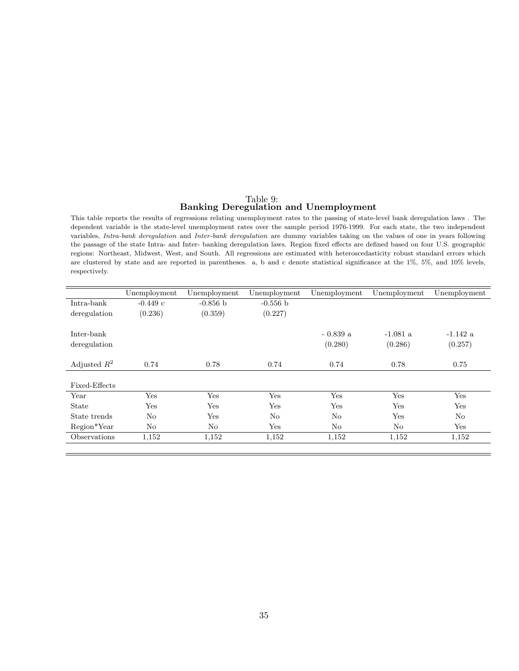# Table 9: Banking Deregulation and Unemployment

This table reports the results of regressions relating unemployment rates to the passing of state-level bank deregulation laws . The dependent variable is the state-level unemployment rates over the sample period 1976-1999. For each state, the two independent variables, Intra-bank deregulation and Inter-bank deregulation are dummy variables taking on the values of one in years following the passage of the state Intra- and Inter- banking deregulation laws. Region fixed effects are defined based on four U.S. geographic regions: Northeast, Midwest, West, and South. All regressions are estimated with heteroscedasticity robust standard errors which are clustered by state and are reported in parentheses. a, b and c denote statistical significance at the 1%, 5%, and 10% levels, respectively.

|                | Unemployment   | Unemployment | Unemployment | Unemployment | Unemployment   | Unemployment |
|----------------|----------------|--------------|--------------|--------------|----------------|--------------|
| Intra-bank     | $-0.449$ c     | $-0.856$ b   | $-0.556 b$   |              |                |              |
| deregulation   | (0.236)        | (0.359)      | (0.227)      |              |                |              |
|                |                |              |              |              |                |              |
| Inter-bank     |                |              |              | $-0.839a$    | $-1.081$ a     | $-1.142$ a   |
| deregulation   |                |              |              | (0.280)      | (0.286)        | (0.257)      |
|                |                |              |              |              |                |              |
| Adjusted $R^2$ | 0.74           | 0.78         | 0.74         | 0.74         | 0.78           | 0.75         |
|                |                |              |              |              |                |              |
| Fixed-Effects  |                |              |              |              |                |              |
| Year           | Yes            | Yes          | Yes          | Yes          | Yes            | Yes          |
| <b>State</b>   | Yes            | Yes          | Yes          | Yes          | Yes            | Yes          |
| State trends   | N <sub>o</sub> | Yes          | No           | $\rm No$     | Yes            | No           |
| Region*Year    | N <sub>o</sub> | No           | Yes          | No           | N <sub>o</sub> | Yes          |
| Observations   | 1,152          | 1,152        | 1,152        | 1,152        | 1,152          | 1,152        |
|                |                |              |              |              |                |              |